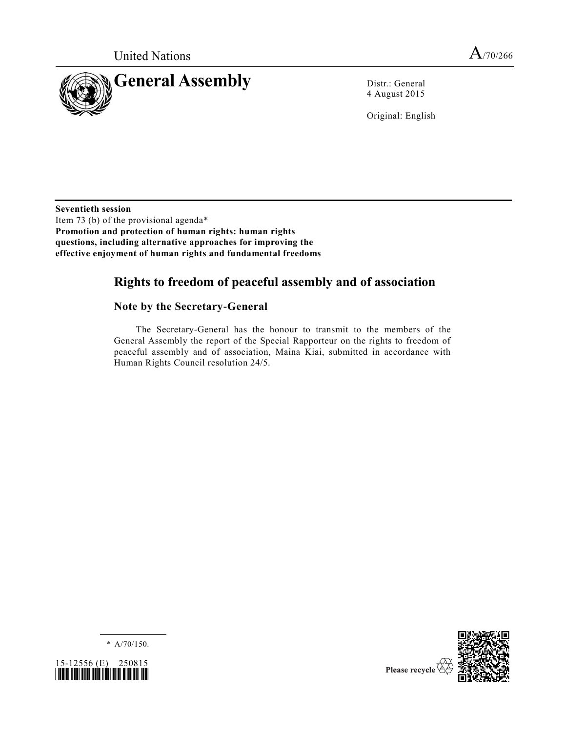



4 August 2015

Original: English

**Seventieth session** Item 73 (b) of the provisional agenda\* **Promotion and protection of human rights: human rights questions, including alternative approaches for improving the effective enjoyment of human rights and fundamental freedoms**

# **Rights to freedom of peaceful assembly and of association**

### **Note by the Secretary-General**

The Secretary-General has the honour to transmit to the members of the General Assembly the report of the Special Rapporteur on the rights to freedom of peaceful assembly and of association, Maina Kiai, submitted in accordance with Human Rights Council resolution 24/5.

\* [A/70/150.](http://undocs.org/A/70/150)



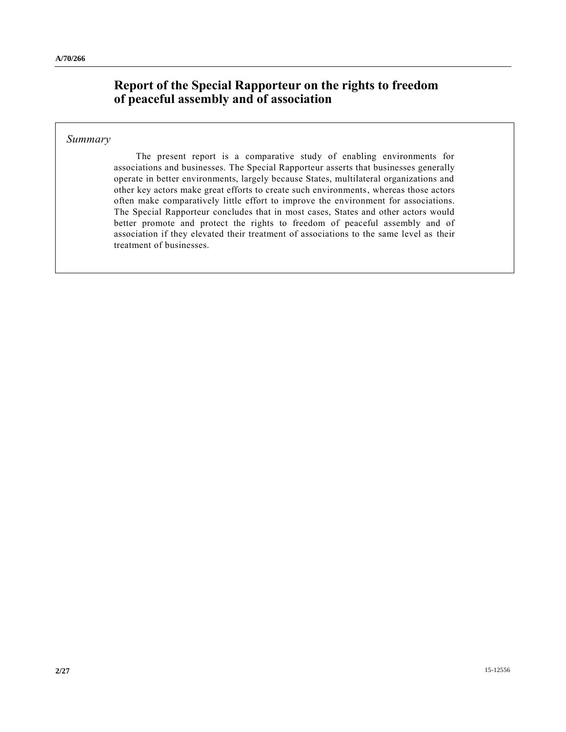# **Report of the Special Rapporteur on the rights to freedom of peaceful assembly and of association**

#### *Summary*

The present report is a comparative study of enabling environments for associations and businesses. The Special Rapporteur asserts that businesses generally operate in better environments, largely because States, multilateral organizations and other key actors make great efforts to create such environments, whereas those actors often make comparatively little effort to improve the environment for associations. The Special Rapporteur concludes that in most cases, States and other actors would better promote and protect the rights to freedom of peaceful assembly and of association if they elevated their treatment of associations to the same level as their treatment of businesses.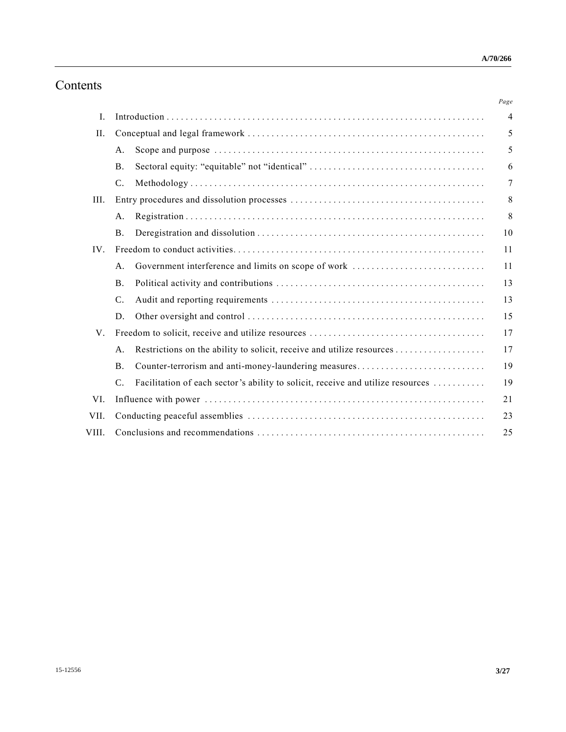# Contents

|                 |                                                                                 | Page           |
|-----------------|---------------------------------------------------------------------------------|----------------|
|                 |                                                                                 | $\overline{4}$ |
|                 |                                                                                 | 5              |
| A <sub>1</sub>  |                                                                                 | 5              |
| <b>B.</b>       |                                                                                 | 6              |
| $\mathcal{C}$ . |                                                                                 | 7              |
|                 |                                                                                 |                |
| A.              |                                                                                 | 8              |
| <b>B.</b>       |                                                                                 | 10             |
|                 |                                                                                 |                |
| A <sub>1</sub>  | Government interference and limits on scope of work                             | 11             |
| <b>B</b> .      |                                                                                 | 13             |
| $\mathsf{C}.$   |                                                                                 | 13             |
| D.              |                                                                                 | 15             |
|                 |                                                                                 | 17             |
| $A$ .           |                                                                                 | 17             |
| <b>B</b> .      | Counter-terrorism and anti-money-laundering measures                            | 19             |
| $\mathcal{C}$ . | Facilitation of each sector's ability to solicit, receive and utilize resources | 19             |
|                 |                                                                                 | 21             |
|                 |                                                                                 | 23             |
|                 |                                                                                 | 25             |
|                 |                                                                                 |                |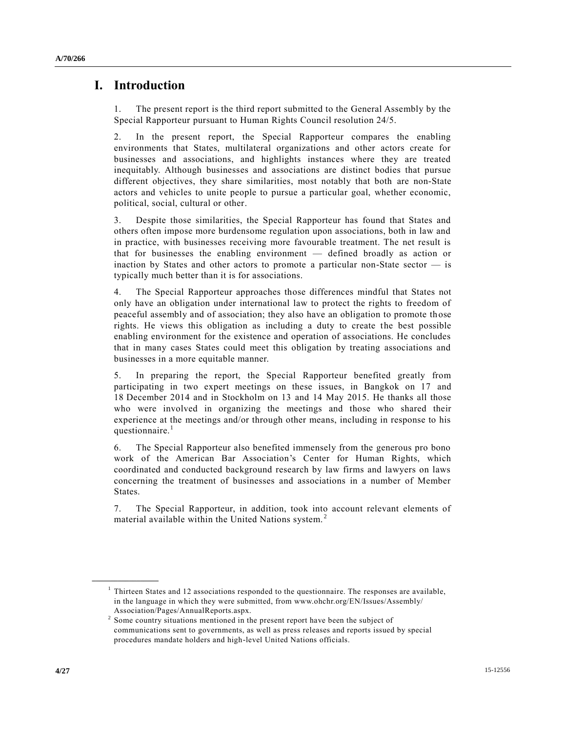### **I. Introduction**

1. The present report is the third report submitted to the General Assembly by the Special Rapporteur pursuant to Human Rights Council resolution 24/5.

2. In the present report, the Special Rapporteur compares the enabling environments that States, multilateral organizations and other actors create for businesses and associations, and highlights instances where they are treated inequitably. Although businesses and associations are distinct bodies that pursue different objectives, they share similarities, most notably that both are non-State actors and vehicles to unite people to pursue a particular goal, whether economic, political, social, cultural or other.

3. Despite those similarities, the Special Rapporteur has found that States and others often impose more burdensome regulation upon associations, both in law and in practice, with businesses receiving more favourable treatment. The net result is that for businesses the enabling environment — defined broadly as action or inaction by States and other actors to promote a particular non-State sector — is typically much better than it is for associations.

4. The Special Rapporteur approaches those differences mindful that States not only have an obligation under international law to protect the rights to freedom of peaceful assembly and of association; they also have an obligation to promote those rights. He views this obligation as including a duty to create the best possible enabling environment for the existence and operation of associations. He concludes that in many cases States could meet this obligation by treating associations and businesses in a more equitable manner.

5. In preparing the report, the Special Rapporteur benefited greatly from participating in two expert meetings on these issues, in Bangkok on 17 and 18 December 2014 and in Stockholm on 13 and 14 May 2015. He thanks all those who were involved in organizing the meetings and those who shared their experience at the meetings and/or through other means, including in response to his questionnaire.<sup>1</sup>

6. The Special Rapporteur also benefited immensely from the generous pro bono work of the American Bar Association's Center for Human Rights, which coordinated and conducted background research by law firms and lawyers on laws concerning the treatment of businesses and associations in a number of Member States.

7. The Special Rapporteur, in addition, took into account relevant elements of material available within the United Nations system.<sup>2</sup>

<sup>&</sup>lt;sup>1</sup> Thirteen States and 12 associations responded to the questionnaire. The responses are available, in the language in which they were submitted, from www.ohchr.org/EN/Issues/Assembly/ Association/Pages/AnnualReports.aspx.

 $2^{2}$  Some country situations mentioned in the present report have been the subject of communications sent to governments, as well as press releases and reports issued by special procedures mandate holders and high-level United Nations officials.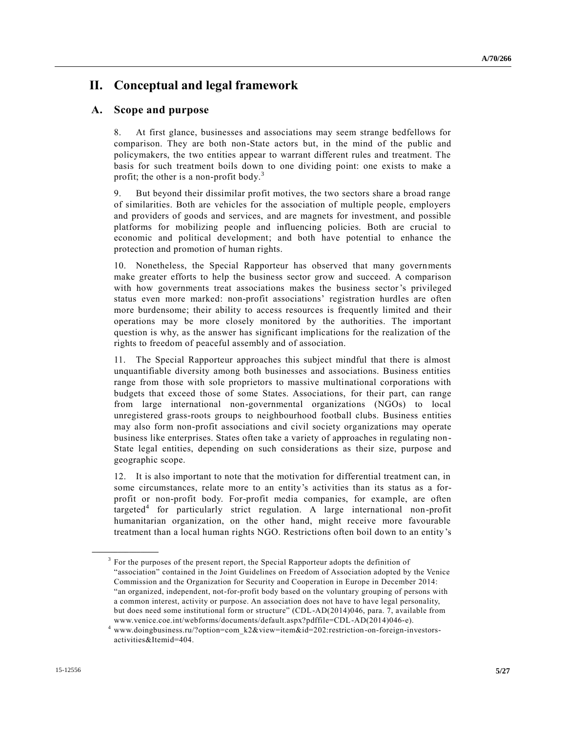## **II. Conceptual and legal framework**

### **A. Scope and purpose**

8. At first glance, businesses and associations may seem strange bedfellows for comparison. They are both non-State actors but, in the mind of the public and policymakers, the two entities appear to warrant different rules and treatment. The basis for such treatment boils down to one dividing point: one exists to make a profit; the other is a non-profit body.<sup>3</sup>

9. But beyond their dissimilar profit motives, the two sectors share a broad range of similarities. Both are vehicles for the association of multiple people, employers and providers of goods and services, and are magnets for investment, and possible platforms for mobilizing people and influencing policies. Both are crucial to economic and political development; and both have potential to enhance the protection and promotion of human rights.

10. Nonetheless, the Special Rapporteur has observed that many governments make greater efforts to help the business sector grow and succeed. A comparison with how governments treat associations makes the business sector's privileged status even more marked: non-profit associations' registration hurdles are often more burdensome; their ability to access resources is frequently limited and their operations may be more closely monitored by the authorities. The important question is why, as the answer has significant implications for the realization of the rights to freedom of peaceful assembly and of association.

11. The Special Rapporteur approaches this subject mindful that there is almost unquantifiable diversity among both businesses and associations. Business entities range from those with sole proprietors to massive multinational corporations with budgets that exceed those of some States. Associations, for their part, can range from large international non-governmental organizations (NGOs) to local unregistered grass-roots groups to neighbourhood football clubs. Business entities may also form non-profit associations and civil society organizations may operate business like enterprises. States often take a variety of approaches in regulating non-State legal entities, depending on such considerations as their size, purpose and geographic scope.

12. It is also important to note that the motivation for differential treatment can, in some circumstances, relate more to an entity's activities than its status as a forprofit or non-profit body. For-profit media companies, for example, are often targeted<sup>4</sup> for particularly strict regulation. A large international non-profit humanitarian organization, on the other hand, might receive more favourable treatment than a local human rights NGO. Restrictions often boil down to an entity 's

 $3$  For the purposes of the present report, the Special Rapporteur adopts the definition of "association" contained in the Joint Guidelines on Freedom of Association adopted by the Venice Commission and the Organization for Security and Cooperation in Europe in December 2014: "an organized, independent, not-for-profit body based on the voluntary grouping of persons with a common interest, activity or purpose. An association does not have to have legal personality, but does need some institutional form or structure" (CDL-AD(2014)046, para. 7, available from www.venice.coe.int/webforms/documents/default.aspx?pdffile=CDL-AD(2014)046-e).

www.doingbusiness.ru/?option=com\_k2&view=item&id=202:restriction-on-foreign-investorsactivities&Itemid=404.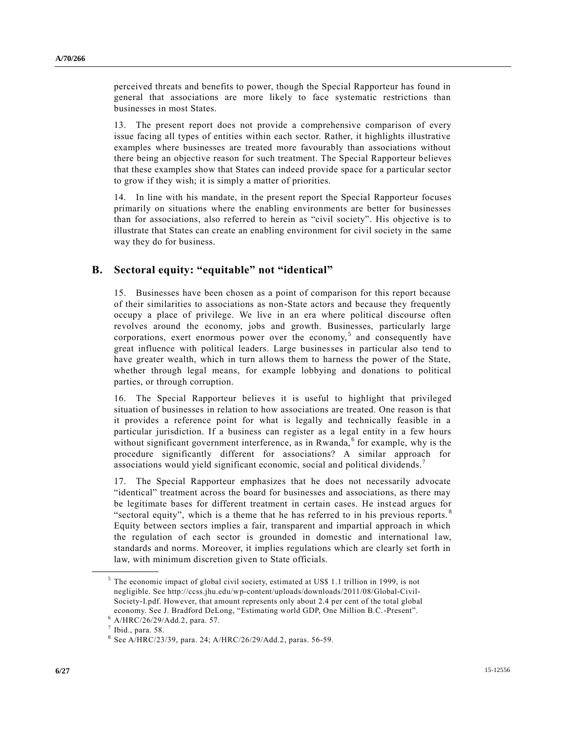perceived threats and benefits to power, though the Special Rapporteur has found in general that associations are more likely to face systematic restrictions than businesses in most States.

13. The present report does not provide a comprehensive comparison of every issue facing all types of entities within each sector. Rather, it highlights illustrative examples where businesses are treated more favourably than associations without there being an objective reason for such treatment. The Special Rapporteur believes that these examples show that States can indeed provide space for a particular sector to grow if they wish; it is simply a matter of priorities.

14. In line with his mandate, in the present report the Special Rapporteur focuses primarily on situations where the enabling environments are better for businesses than for associations, also referred to herein as "civil society". His objective is to illustrate that States can create an enabling environment for civil society in the same way they do for business.

### **B. Sectoral equity: "equitable" not "identical"**

15. Businesses have been chosen as a point of comparison for this report because of their similarities to associations as non-State actors and because they frequently occupy a place of privilege. We live in an era where political discourse often revolves around the economy, jobs and growth. Businesses, particularly large corporations, exert enormous power over the economy,<sup>5</sup> and consequently have great influence with political leaders. Large businesses in particular also tend to have greater wealth, which in turn allows them to harness the power of the State, whether through legal means, for example lobbying and donations to political parties, or through corruption.

16. The Special Rapporteur believes it is useful to highlight that privileged situation of businesses in relation to how associations are treated. One reason is that it provides a reference point for what is legally and technically feasible in a particular jurisdiction. If a business can register as a legal entity in a few hours without significant government interference, as in Rwanda, $<sup>6</sup>$  for example, why is the</sup> procedure significantly different for associations? A similar approach for associations would yield significant economic, social and political dividends.<sup>7</sup>

17. The Special Rapporteur emphasizes that he does not necessarily advocate "identical" treatment across the board for businesses and associations, as there may be legitimate bases for different treatment in certain cases. He instead argues for "sectoral equity", which is a theme that he has referred to in his previous reports.  $\frac{8}{3}$ Equity between sectors implies a fair, transparent and impartial approach in which the regulation of each sector is grounded in domestic and international law, standards and norms. Moreover, it implies regulations which are clearly set forth in law, with minimum discretion given to State officials.

<sup>&</sup>lt;sup>5</sup> The economic impact of global civil society, estimated at US\$ 1.1 trillion in 1999, is not negligible. See http://ccss.jhu.edu/wp-content/uploads/downloads/2011/08/Global-Civil-Society-I.pdf. However, that amount represents only about 2.4 per cent of the total global economy. See J. Bradford DeLong, "Estimating world GDP, One Million B.C.-Present".

<sup>6</sup> [A/HRC/26/29/Add.2,](http://undocs.org/A/HRC/26/29/Add.2) para. 57.

 $<sup>7</sup>$  Ibid., para. 58.</sup>

 $8$  Se[e A/HRC/23/39,](http://undocs.org/A/HRC/23/39) para. 24; [A/HRC/26/29/Add.2,](http://undocs.org/A/HRC/26/29/Add.2) paras. 56-59.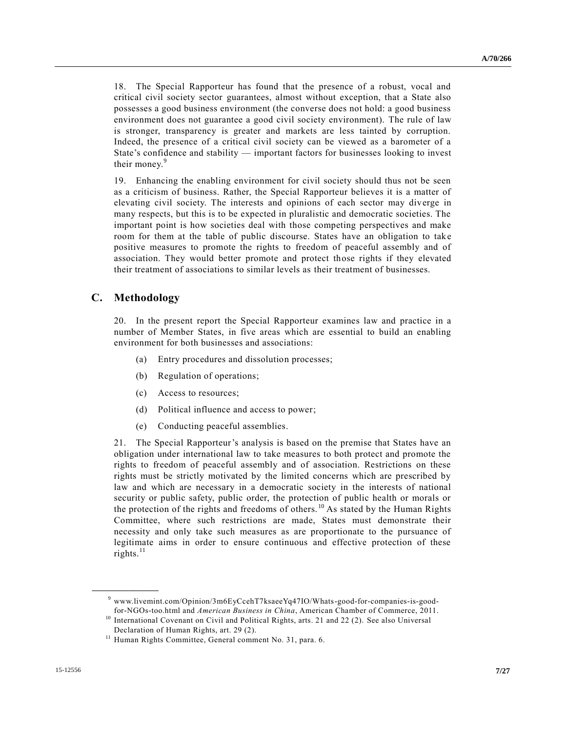18. The Special Rapporteur has found that the presence of a robust, vocal and critical civil society sector guarantees, almost without exception, that a State also possesses a good business environment (the converse does not hold: a good business environment does not guarantee a good civil society environment). The rule of law is stronger, transparency is greater and markets are less tainted by corruption. Indeed, the presence of a critical civil society can be viewed as a barometer of a State's confidence and stability — important factors for businesses looking to invest their money.<sup>9</sup>

19. Enhancing the enabling environment for civil society should thus not be seen as a criticism of business. Rather, the Special Rapporteur believes it is a matter of elevating civil society. The interests and opinions of each sector may diverge in many respects, but this is to be expected in pluralistic and democratic societies. The important point is how societies deal with those competing perspectives and make room for them at the table of public discourse. States have an obligation to take positive measures to promote the rights to freedom of peaceful assembly and of association. They would better promote and protect those rights if they elevated their treatment of associations to similar levels as their treatment of businesses.

#### **C. Methodology**

**\_\_\_\_\_\_\_\_\_\_\_\_\_\_\_\_\_\_**

20. In the present report the Special Rapporteur examines law and practice in a number of Member States, in five areas which are essential to build an enabling environment for both businesses and associations:

- (a) Entry procedures and dissolution processes;
- (b) Regulation of operations;
- (c) Access to resources;
- (d) Political influence and access to power;
- (e) Conducting peaceful assemblies.

21. The Special Rapporteur's analysis is based on the premise that States have an obligation under international law to take measures to both protect and promote the rights to freedom of peaceful assembly and of association. Restrictions on these rights must be strictly motivated by the limited concerns which are prescribed by law and which are necessary in a democratic society in the interests of national security or public safety, public order, the protection of public health or morals or the protection of the rights and freedoms of others. <sup>10</sup> As stated by the Human Rights Committee, where such restrictions are made, States must demonstrate their necessity and only take such measures as are proportionate to the pursuance of legitimate aims in order to ensure continuous and effective protection of these rights. $^{11}$ 

<sup>9</sup> www.livemint.com/Opinion/3m6EyCcehT7ksaeeYq47IO/Whats-good-for-companies-is-goodfor-NGOs-too.html and *American Business in China*, American Chamber of Commerce, 2011.

<sup>&</sup>lt;sup>10</sup> International Covenant on Civil and Political Rights, arts. 21 and 22 (2). See also Universal Declaration of Human Rights, art. 29 (2).

<sup>&</sup>lt;sup>11</sup> Human Rights Committee, General comment No. 31, para. 6.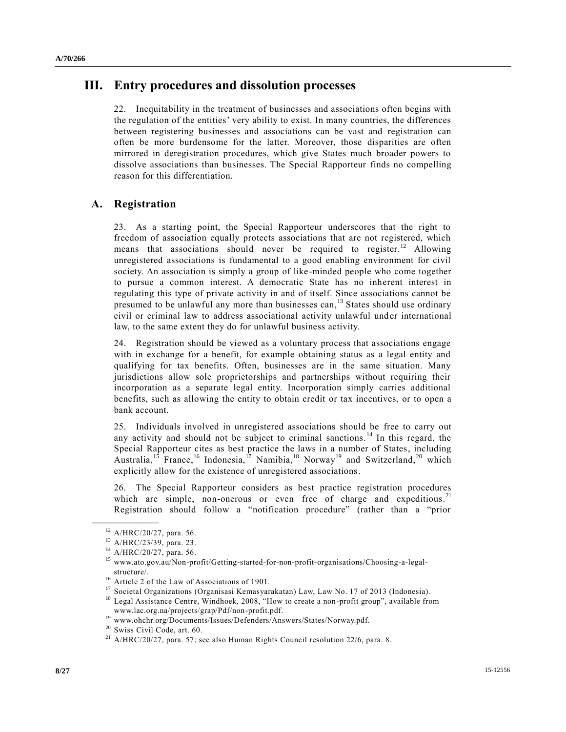## **III. Entry procedures and dissolution processes**

22. Inequitability in the treatment of businesses and associations often begins with the regulation of the entities' very ability to exist. In many countries, the differences between registering businesses and associations can be vast and registration can often be more burdensome for the latter. Moreover, those disparities are often mirrored in deregistration procedures, which give States much broader powers to dissolve associations than businesses. The Special Rapporteur finds no compelling reason for this differentiation.

### **A. Registration**

23. As a starting point, the Special Rapporteur underscores that the right to freedom of association equally protects associations that are not registered, which means that associations should never be required to register.<sup>12</sup> Allowing unregistered associations is fundamental to a good enabling environment for civil society. An association is simply a group of like-minded people who come together to pursue a common interest. A democratic State has no inherent interest in regulating this type of private activity in and of itself. Since associations cannot be presumed to be unlawful any more than businesses can,<sup>13</sup> States should use ordinary civil or criminal law to address associational activity unlawful under international law, to the same extent they do for unlawful business activity.

24. Registration should be viewed as a voluntary process that associations engage with in exchange for a benefit, for example obtaining status as a legal entity and qualifying for tax benefits. Often, businesses are in the same situation. Many jurisdictions allow sole proprietorships and partnerships without requiring their incorporation as a separate legal entity. Incorporation simply carries additional benefits, such as allowing the entity to obtain credit or tax incentives, or to open a bank account.

25. Individuals involved in unregistered associations should be free to carry out any activity and should not be subject to criminal sanctions.<sup>14</sup> In this regard, the Special Rapporteur cites as best practice the laws in a number of States, including Australia,<sup>15</sup> France,<sup>16</sup> Indonesia,<sup>17</sup> Namibia,<sup>18</sup> Norway<sup>19</sup> and Switzerland,<sup>20</sup> which explicitly allow for the existence of unregistered associations.

26. The Special Rapporteur considers as best practice registration procedures which are simple, non-onerous or even free of charge and expeditious.<sup>21</sup> Registration should follow a "notification procedure" (rather than a "prior

<sup>12</sup> [A/HRC/20/27,](http://undocs.org/A/HRC/20/27) para. 56.

<sup>13</sup> [A/HRC/23/39,](http://undocs.org/A/HRC/23/39) para. 23.

<sup>14</sup> [A/HRC/20/27,](http://undocs.org/A/HRC/20/27) para. 56.

<sup>15</sup> www.ato.gov.au/Non-profit/Getting-started-for-non-profit-organisations/Choosing-a-legalstructure/.

<sup>&</sup>lt;sup>16</sup> Article 2 of the Law of Associations of 1901.

<sup>&</sup>lt;sup>17</sup> Societal Organizations (Organisasi Kemasyarakatan) Law, Law No. 17 of 2013 (Indonesia).

<sup>&</sup>lt;sup>18</sup> Legal Assistance Centre, Windhoek, 2008, "How to create a non-profit group", available from www.lac.org.na/projects/grap/Pdf/non-profit.pdf.

<sup>19</sup> www.ohchr.org/Documents/Issues/Defenders/Answers/States/Norway.pdf.

<sup>20</sup> Swiss Civil Code, art. 60.

 $^{21}$  [A/HRC/20/27,](http://undocs.org/A/HRC/20/27) para. 57; see also Human Rights Council resolution 22/6, para. 8.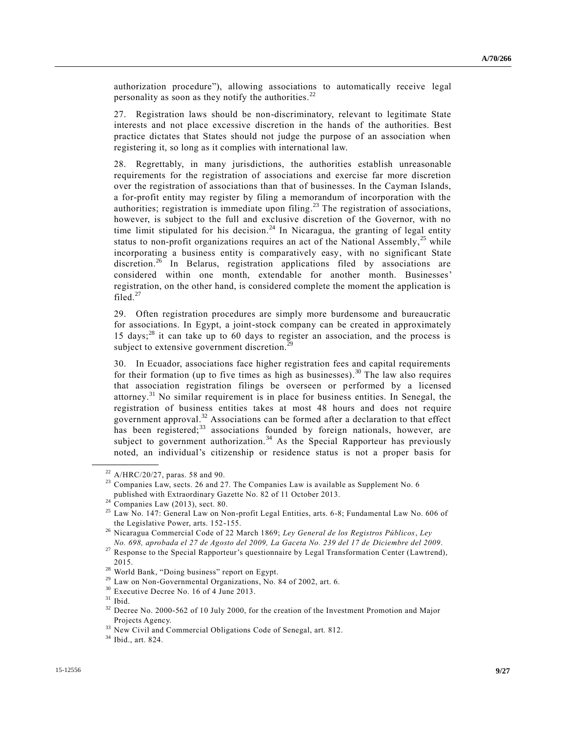authorization procedure"), allowing associations to automatically receive legal personality as soon as they notify the authorities.<sup>22</sup>

27. Registration laws should be non-discriminatory, relevant to legitimate State interests and not place excessive discretion in the hands of the authorities. Best practice dictates that States should not judge the purpose of an association when registering it, so long as it complies with international law.

28. Regrettably, in many jurisdictions, the authorities establish unreasonable requirements for the registration of associations and exercise far more discretion over the registration of associations than that of businesses. In the Cayman Islands, a for-profit entity may register by filing a memorandum of incorporation with the authorities; registration is immediate upon filing.<sup>23</sup> The registration of associations, however, is subject to the full and exclusive discretion of the Governor, with no time limit stipulated for his decision.<sup>24</sup> In Nicaragua, the granting of legal entity status to non-profit organizations requires an act of the National Assembly,  $25$  while incorporating a business entity is comparatively easy, with no significant State discretion.<sup>26</sup> In Belarus, registration applications filed by associations are considered within one month, extendable for another month. Businesses' registration, on the other hand, is considered complete the moment the application is filed. $27$ 

29. Often registration procedures are simply more burdensome and bureaucratic for associations. In Egypt, a joint-stock company can be created in approximately 15 days; <sup>28</sup> it can take up to 60 days to register an association, and the process is subject to extensive government discretion.<sup>29</sup>

30. In Ecuador, associations face higher registration fees and capital requirements for their formation (up to five times as high as businesses).<sup>30</sup> The law also requires that association registration filings be overseen or performed by a licensed attorney.<sup>31</sup> No similar requirement is in place for business entities. In Senegal, the registration of business entities takes at most 48 hours and does not require government approval.<sup>32</sup> Associations can be formed after a declaration to that effect has been registered;<sup>33</sup> associations founded by foreign nationals, however, are subject to government authorization.<sup>34</sup> As the Special Rapporteur has previously noted, an individual's citizenship or residence status is not a proper basis for

<sup>22</sup> [A/HRC/20/27,](http://undocs.org/A/HRC/20/27) paras. 58 and 90.

 $23$  Companies Law, sects. 26 and 27. The Companies Law is available as Supplement No. 6 published with Extraordinary Gazette No. 82 of 11 October 2013.

 $24$  Companies Law (2013), sect. 80.

<sup>25</sup> Law No. 147: General Law on Non-profit Legal Entities, arts. 6-8; Fundamental Law No. 606 of the Legislative Power, arts. 152-155.

<sup>26</sup> Nicaragua Commercial Code of 22 March 1869; *Ley General de los Registros Públicos*, *Ley No. 698, aprobada el 27 de Agosto del 2009, La Gaceta No. 239 del 17 de Diciembre del 2009*.

<sup>&</sup>lt;sup>27</sup> Response to the Special Rapporteur's questionnaire by Legal Transformation Center (Lawtrend), 2015.

<sup>&</sup>lt;sup>28</sup> World Bank, "Doing business" report on Egypt.

<sup>&</sup>lt;sup>29</sup> Law on Non-Governmental Organizations, No. 84 of 2002, art. 6.

<sup>30</sup> Executive Decree No. 16 of 4 June 2013.

 $31$  Ibid.

<sup>&</sup>lt;sup>32</sup> Decree No. 2000-562 of 10 July 2000, for the creation of the Investment Promotion and Major Projects Agency.

<sup>&</sup>lt;sup>33</sup> New Civil and Commercial Obligations Code of Senegal, art. 812.

<sup>34</sup> Ibid., art. 824.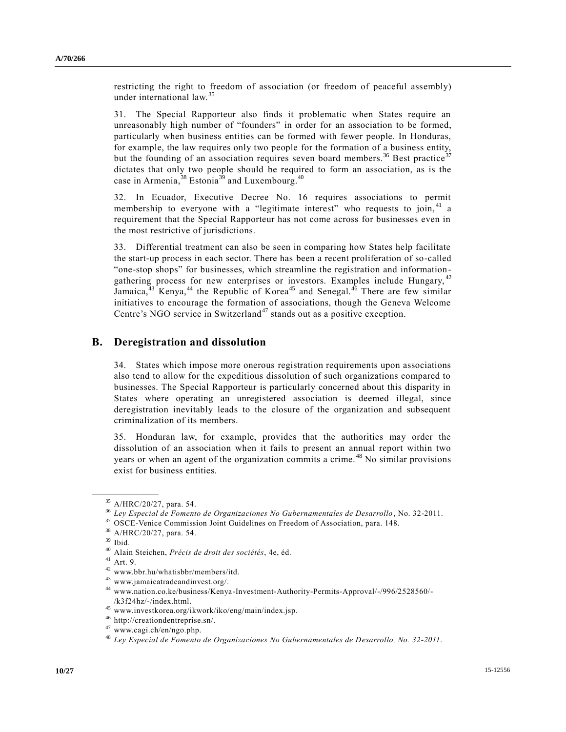restricting the right to freedom of association (or freedom of peaceful assembly) under international law.<sup>35</sup>

31. The Special Rapporteur also finds it problematic when States require an unreasonably high number of "founders" in order for an association to be formed, particularly when business entities can be formed with fewer people. In Honduras, for example, the law requires only two people for the formation of a business entity, but the founding of an association requires seven board members.<sup>36</sup> Best practice<sup>37</sup> dictates that only two people should be required to form an association, as is the case in Armenia,  $38$  Estonia<sup>39</sup> and Luxembourg.<sup>40</sup>

32. In Ecuador, Executive Decree No. 16 requires associations to permit membership to everyone with a "legitimate interest" who requests to join,  $41$  a requirement that the Special Rapporteur has not come across for businesses even in the most restrictive of jurisdictions.

33. Differential treatment can also be seen in comparing how States help facilitate the start-up process in each sector. There has been a recent proliferation of so-called "one-stop shops" for businesses, which streamline the registration and informationgathering process for new enterprises or investors. Examples include Hungary, <sup>42</sup> Jamaica, $43$  Kenya, $44$  the Republic of Korea<sup>45</sup> and Senegal. $46$  There are few similar initiatives to encourage the formation of associations, though the Geneva Welcome Centre's NGO service in Switzerland<sup>47</sup> stands out as a positive exception.

#### **B. Deregistration and dissolution**

34. States which impose more onerous registration requirements upon associations also tend to allow for the expeditious dissolution of such organizations compared to businesses. The Special Rapporteur is particularly concerned about this disparity in States where operating an unregistered association is deemed illegal, since deregistration inevitably leads to the closure of the organization and subsequent criminalization of its members.

35. Honduran law, for example, provides that the authorities may order the dissolution of an association when it fails to present an annual report within two years or when an agent of the organization commits a crime.<sup>48</sup> No similar provisions exist for business entities.

<sup>35</sup> [A/HRC/20/27,](http://undocs.org/A/HRC/20/27) para. 54.

<sup>36</sup> *Ley Especial de Fomento de Organizaciones No Gubernamentales de Desarrollo*, No. 32-2011.

<sup>&</sup>lt;sup>37</sup> OSCE-Venice Commission Joint Guidelines on Freedom of Association, para. 148.

<sup>38</sup> [A/HRC/20/27,](http://undocs.org/A/HRC/20/27) para. 54.

<sup>39</sup> Ibid.

<sup>40</sup> Alain Steichen, *Précis de droit des sociétés*, 4e, éd.

<sup>41</sup> Art. 9.

<sup>42</sup> www.bbr.hu/whatisbbr/members/itd.

<sup>43</sup> www.jamaicatradeandinvest.org/.

<sup>44</sup> www.nation.co.ke/business/Kenya-Investment-Authority-Permits-Approval/-/996/2528560/- /k3f24hz/-/index.html.

<sup>45</sup> www.investkorea.org/ikwork/iko/eng/main/index.jsp.

<sup>46</sup> http://creationdentreprise.sn/.

<sup>47</sup> www.cagi.ch/en/ngo.php.

<sup>48</sup> *Ley Especial de Fomento de Organizaciones No Gubernamentales de Desarrollo, No. 32-2011*.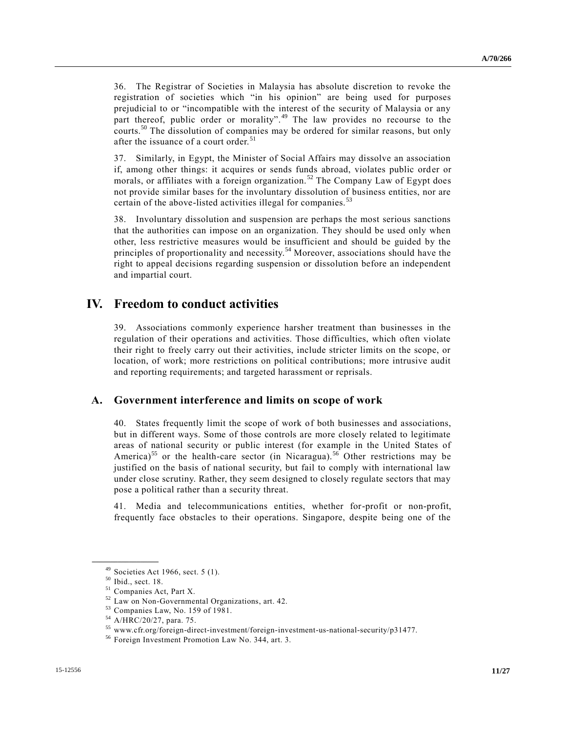36. The Registrar of Societies in Malaysia has absolute discretion to revoke the registration of societies which "in his opinion" are being used for purposes prejudicial to or "incompatible with the interest of the security of Malaysia or any part thereof, public order or morality".<sup>49</sup> The law provides no recourse to the courts.<sup>50</sup> The dissolution of companies may be ordered for similar reasons, but only after the issuance of a court order.<sup>51</sup>

37. Similarly, in Egypt, the Minister of Social Affairs may dissolve an association if, among other things: it acquires or sends funds abroad, violates public order or morals, or affiliates with a foreign organization.<sup>52</sup> The Company Law of Egypt does not provide similar bases for the involuntary dissolution of business entities, nor are certain of the above-listed activities illegal for companies.<sup>53</sup>

38. Involuntary dissolution and suspension are perhaps the most serious sanctions that the authorities can impose on an organization. They should be used only when other, less restrictive measures would be insufficient and should be guided by the principles of proportionality and necessity.<sup>54</sup> Moreover, associations should have the right to appeal decisions regarding suspension or dissolution before an independent and impartial court.

## **IV. Freedom to conduct activities**

39. Associations commonly experience harsher treatment than businesses in the regulation of their operations and activities. Those difficulties, which often violate their right to freely carry out their activities, include stricter limits on the scope, or location, of work; more restrictions on political contributions; more intrusive audit and reporting requirements; and targeted harassment or reprisals.

#### **A. Government interference and limits on scope of work**

40. States frequently limit the scope of work of both businesses and associations, but in different ways. Some of those controls are more closely related to legitimate areas of national security or public interest (for example in the United States of America)<sup>55</sup> or the health-care sector (in Nicaragua).<sup>56</sup> Other restrictions may be justified on the basis of national security, but fail to comply with international law under close scrutiny. Rather, they seem designed to closely regulate sectors that may pose a political rather than a security threat.

41. Media and telecommunications entities, whether for-profit or non-profit, frequently face obstacles to their operations. Singapore, despite being one of the

 $49$  Societies Act 1966, sect. 5 (1).

<sup>50</sup> Ibid., sect. 18.

<sup>51</sup> Companies Act, Part X.

<sup>52</sup> Law on Non-Governmental Organizations, art. 42.

<sup>53</sup> Companies Law, No. 159 of 1981.

<sup>54</sup> [A/HRC/20/27,](http://undocs.org/A/HRC/20/27) para. 75.

<sup>55</sup> www.cfr.org/foreign-direct-investment/foreign-investment-us-national-security/p31477.

<sup>56</sup> Foreign Investment Promotion Law No. 344, art. 3.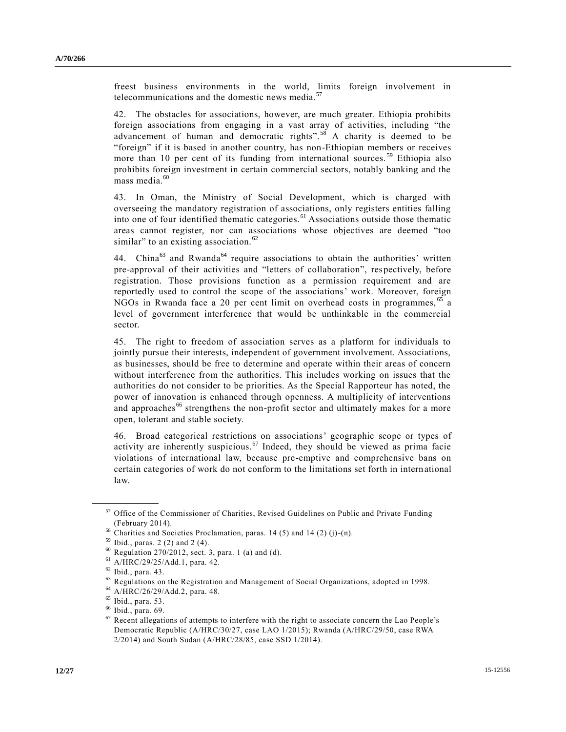freest business environments in the world, limits foreign involvement in telecommunications and the domestic news media.<sup>57</sup>

42. The obstacles for associations, however, are much greater. Ethiopia prohibits foreign associations from engaging in a vast array of activities, including "the advancement of human and democratic rights".<sup>58</sup> A charity is deemed to be "foreign" if it is based in another country, has non-Ethiopian members or receives more than 10 per cent of its funding from international sources.<sup>59</sup> Ethiopia also prohibits foreign investment in certain commercial sectors, notably banking and the mass media.<sup>60</sup>

43. In Oman, the Ministry of Social Development, which is charged with overseeing the mandatory registration of associations, only registers entities falling into one of four identified thematic categories. <sup>61</sup> Associations outside those thematic areas cannot register, nor can associations whose objectives are deemed "too similar" to an existing association. $62$ 

44. China<sup>63</sup> and Rwanda<sup>64</sup> require associations to obtain the authorities' written pre-approval of their activities and "letters of collaboration", respectively, before registration. Those provisions function as a permission requirement and are reportedly used to control the scope of the associations' work. Moreover, foreign NGOs in Rwanda face a 20 per cent limit on overhead costs in programmes, <sup>65</sup> a level of government interference that would be unthinkable in the commercial sector.

45. The right to freedom of association serves as a platform for individuals to jointly pursue their interests, independent of government involvement. Associations, as businesses, should be free to determine and operate within their areas of concern without interference from the authorities. This includes working on issues that the authorities do not consider to be priorities. As the Special Rapporteur has noted, the power of innovation is enhanced through openness. A multiplicity of interventions and approaches<sup>66</sup> strengthens the non-profit sector and ultimately makes for a more open, tolerant and stable society.

46. Broad categorical restrictions on associations' geographic scope or types of activity are inherently suspicious.<sup>67</sup> Indeed, they should be viewed as prima facie violations of international law, because pre-emptive and comprehensive bans on certain categories of work do not conform to the limitations set forth in international law.

<sup>57</sup> Office of the Commissioner of Charities, Revised Guidelines on Public and Private Funding (February 2014).

<sup>58</sup> Charities and Societies Proclamation, paras. 14 (5) and 14 (2) (j)-(n).

<sup>59</sup> Ibid., paras. 2 (2) and 2 (4).

 $60$  Regulation 270/2012, sect. 3, para. 1 (a) and (d).

<sup>61</sup> [A/HRC/29/25/Add.1,](http://undocs.org/A/HRC/29/25/Add.1) para. 42.

<sup>62</sup> Ibid., para. 43.

 $^{63}$  Regulations on the Registration and Management of Social Organizations, adopted in 1998.

<sup>64</sup> [A/HRC/26/29/Add.2,](http://undocs.org/A/HRC/26/29/Add.2) para. 48.

<sup>65</sup> Ibid., para. 53.

<sup>66</sup> Ibid., para. 69.

 $67$  Recent allegations of attempts to interfere with the right to associate concern the Lao People's Democratic Republic [\(A/HRC/30/27,](http://undocs.org/A/HRC/30/27) case LAO 1/2015); Rwanda [\(A/HRC/29/50,](http://undocs.org/A/HRC/29/50) case RWA 2/2014) and South Sudan [\(A/HRC/28/85,](http://undocs.org/A/HRC/28/85) case SSD 1/2014).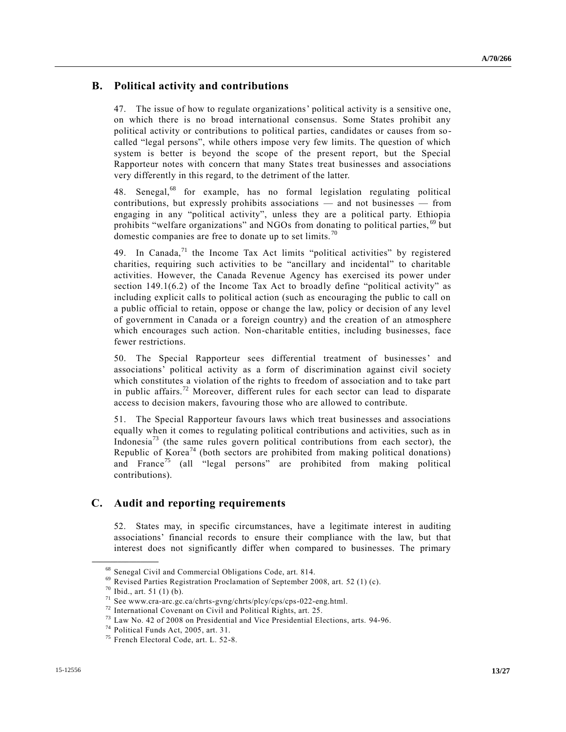### **B. Political activity and contributions**

47. The issue of how to regulate organizations' political activity is a sensitive one, on which there is no broad international consensus. Some States prohibit any political activity or contributions to political parties, candidates or causes from socalled "legal persons", while others impose very few limits. The question of which system is better is beyond the scope of the present report, but the Special Rapporteur notes with concern that many States treat businesses and associations very differently in this regard, to the detriment of the latter.

48. Senegal,<sup>68</sup> for example, has no formal legislation regulating political contributions, but expressly prohibits associations — and not businesses — from engaging in any "political activity", unless they are a political party. Ethiopia prohibits "welfare organizations" and NGOs from donating to political parties, <sup>69</sup> but domestic companies are free to donate up to set limits.<sup>70</sup>

49. In Canada,<sup>71</sup> the Income Tax Act limits "political activities" by registered charities, requiring such activities to be "ancillary and incidental" to charitable activities. However, the Canada Revenue Agency has exercised its power under section 149.1(6.2) of the Income Tax Act to broadly define "political activity" as including explicit calls to political action (such as encouraging the public to call on a public official to retain, oppose or change the law, policy or decision of any level of government in Canada or a foreign country) and the creation of an atmosphere which encourages such action. Non-charitable entities, including businesses, face fewer restrictions.

50. The Special Rapporteur sees differential treatment of businesses' and associations' political activity as a form of discrimination against civil society which constitutes a violation of the rights to freedom of association and to take part in public affairs.<sup>72</sup> Moreover, different rules for each sector can lead to disparate access to decision makers, favouring those who are allowed to contribute.

51. The Special Rapporteur favours laws which treat businesses and associations equally when it comes to regulating political contributions and activities, such as in Indonesia<sup>73</sup> (the same rules govern political contributions from each sector), the Republic of Korea<sup>74</sup> (both sectors are prohibited from making political donations) and France<sup>75</sup> (all "legal persons" are prohibited from making political contributions).

### **C. Audit and reporting requirements**

52. States may, in specific circumstances, have a legitimate interest in auditing associations' financial records to ensure their compliance with the law, but that interest does not significantly differ when compared to businesses. The primary

<sup>68</sup> Senegal Civil and Commercial Obligations Code, art. 814.

 $69$  Revised Parties Registration Proclamation of September 2008, art. 52 (1) (c).

<sup>70</sup> Ibid., art. 51 (1) (b).

<sup>71</sup> See www.cra-arc.gc.ca/chrts-gvng/chrts/plcy/cps/cps-022-eng.html.

<sup>72</sup> International Covenant on Civil and Political Rights, art. 25.

<sup>73</sup> Law No. 42 of 2008 on Presidential and Vice Presidential Elections, arts. 94-96.

<sup>74</sup> Political Funds Act, 2005, art. 31.

<sup>75</sup> French Electoral Code, art. L. 52-8.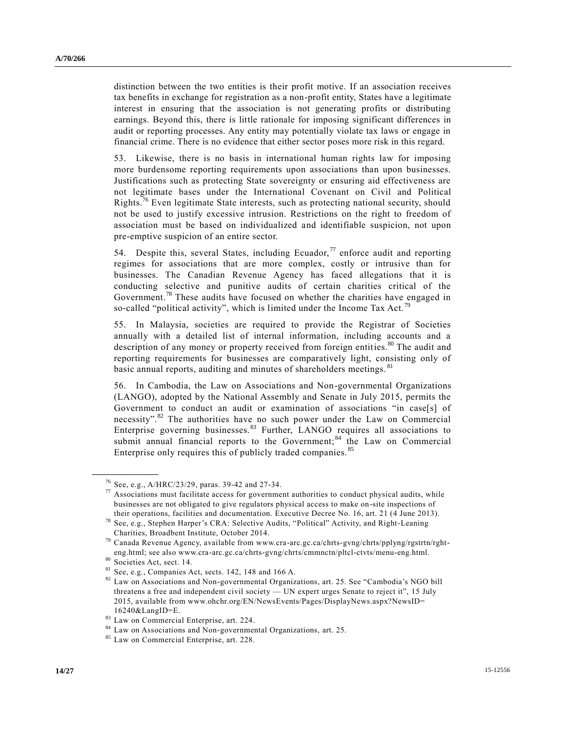distinction between the two entities is their profit motive. If an association receives tax benefits in exchange for registration as a non-profit entity, States have a legitimate interest in ensuring that the association is not generating profits or distributing earnings. Beyond this, there is little rationale for imposing significant differences in audit or reporting processes. Any entity may potentially violate tax laws or engage in financial crime. There is no evidence that either sector poses more risk in this regard.

53. Likewise, there is no basis in international human rights law for imposing more burdensome reporting requirements upon associations than upon businesses. Justifications such as protecting State sovereignty or ensuring aid effectiveness are not legitimate bases under the International Covenant on Civil and Political Rights.<sup>76</sup> Even legitimate State interests, such as protecting national security, should not be used to justify excessive intrusion. Restrictions on the right to freedom of association must be based on individualized and identifiable suspicion, not upon pre-emptive suspicion of an entire sector.

54. Despite this, several States, including Ecuador,  $\frac{7}{7}$  enforce audit and reporting regimes for associations that are more complex, costly or intrusive than for businesses. The Canadian Revenue Agency has faced allegations that it is conducting selective and punitive audits of certain charities critical of the Government.<sup>78</sup> These audits have focused on whether the charities have engaged in so-called "political activity", which is limited under the Income Tax Act.<sup>79</sup>

55. In Malaysia, societies are required to provide the Registrar of Societies annually with a detailed list of internal information, including accounts and a description of any money or property received from foreign entities.<sup>80</sup> The audit and reporting requirements for businesses are comparatively light, consisting only of basic annual reports, auditing and minutes of shareholders meetings.<sup>81</sup>

56. In Cambodia, the Law on Associations and Non-governmental Organizations (LANGO), adopted by the National Assembly and Senate in July 2015, permits the Government to conduct an audit or examination of associations "in case[s] of necessity".<sup>82</sup> The authorities have no such power under the Law on Commercial Enterprise governing businesses.<sup>83</sup> Further, LANGO requires all associations to submit annual financial reports to the Government;<sup>84</sup> the Law on Commercial Enterprise only requires this of publicly traded companies. <sup>85</sup>

<sup>&</sup>lt;sup>76</sup> See, e.g.[, A/HRC/23/29,](http://undocs.org/A/HRC/23/29) paras. 39-42 and 27-34.

Associations must facilitate access for government authorities to conduct physical audits, while businesses are not obligated to give regulators physical access to make on-site inspections of their operations, facilities and documentation. Executive Decree No. 16, art. 21 (4 June 2013).

<sup>78</sup> See, e.g., Stephen Harper's CRA: Selective Audits, "Political" Activity, and Right-Leaning Charities, Broadbent Institute, October 2014.

<sup>79</sup> Canada Revenue Agency, available from www.cra-arc.gc.ca/chrts-gvng/chrts/pplyng/rgstrtn/rghteng.html; see also www.cra-arc.gc.ca/chrts-gvng/chrts/cmmnctn/pltcl-ctvts/menu-eng.html.

 $\frac{80}{81}$  Societies Act, sect. 14.

See, e.g., Companies Act, sects. 142, 148 and 166 A.

<sup>82</sup> Law on Associations and Non-governmental Organizations, art. 25. See "Cambodia's NGO bill threatens a free and independent civil society — UN expert urges Senate to reject it", 15 July 2015, available from www.ohchr.org/EN/NewsEvents/Pages/DisplayNews.aspx?NewsID= 16240&LangID=E.

<sup>83</sup> Law on Commercial Enterprise, art. 224.

<sup>84</sup> Law on Associations and Non-governmental Organizations, art. 25.

<sup>85</sup> Law on Commercial Enterprise, art. 228.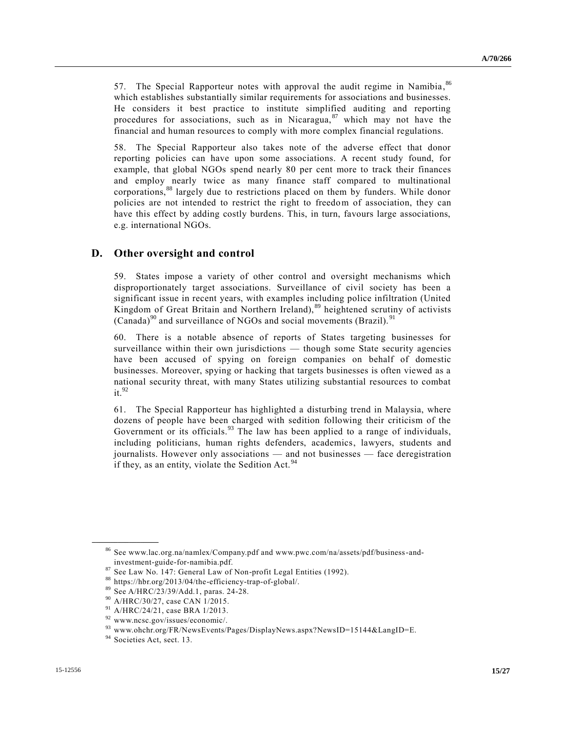57. The Special Rapporteur notes with approval the audit regime in Namibia,  $86$ which establishes substantially similar requirements for associations and businesses. He considers it best practice to institute simplified auditing and reporting procedures for associations, such as in Nicaragua, <sup>87</sup> which may not have the financial and human resources to comply with more complex financial regulations.

58. The Special Rapporteur also takes note of the adverse effect that donor reporting policies can have upon some associations. A recent study found, for example, that global NGOs spend nearly 80 per cent more to track their finances and employ nearly twice as many finance staff compared to multinational corporations,<sup>88</sup> largely due to restrictions placed on them by funders. While donor policies are not intended to restrict the right to freedom of association, they can have this effect by adding costly burdens. This, in turn, favours large associations, e.g. international NGOs.

### **D. Other oversight and control**

59. States impose a variety of other control and oversight mechanisms which disproportionately target associations. Surveillance of civil society has been a significant issue in recent years, with examples including police infiltration (United Kingdom of Great Britain and Northern Ireland), <sup>89</sup> heightened scrutiny of activists (Canada) $^{90}$  and surveillance of NGOs and social movements (Brazil).  $^{91}$ 

60. There is a notable absence of reports of States targeting businesses for surveillance within their own jurisdictions — though some State security agencies have been accused of spying on foreign companies on behalf of domestic businesses. Moreover, spying or hacking that targets businesses is often viewed as a national security threat, with many States utilizing substantial resources to combat it. 92

61. The Special Rapporteur has highlighted a disturbing trend in Malaysia, where dozens of people have been charged with sedition following their criticism of the Government or its officials.  $93$  The law has been applied to a range of individuals, including politicians, human rights defenders, academics, lawyers, students and journalists. However only associations — and not businesses — face deregistration if they, as an entity, violate the Sedition Act.  $94$ 

<sup>86</sup> See www.lac.org.na/namlex/Company.pdf and www.pwc.com/na/assets/pdf/business-andinvestment-guide-for-namibia.pdf.

 $87$  See Law No. 147: General Law of Non-profit Legal Entities (1992).

<sup>88</sup> https://hbr.org/2013/04/the-efficiency-trap-of-global/.

<sup>89</sup> Se[e A/HRC/23/39/Add.1,](http://undocs.org/A/HRC/23/39/Add.1) paras. 24-28.

<sup>90</sup> [A/HRC/30/27,](http://undocs.org/A/HRC/30/27) case CAN 1/2015.

<sup>91</sup> [A/HRC/24/21,](http://undocs.org/A/HRC/24/21) case BRA 1/2013.

<sup>92</sup> www.ncsc.gov/issues/economic/.

<sup>93</sup> www.ohchr.org/FR/NewsEvents/Pages/DisplayNews.aspx?NewsID=15144&LangID=E.

<sup>&</sup>lt;sup>94</sup> Societies Act, sect. 13.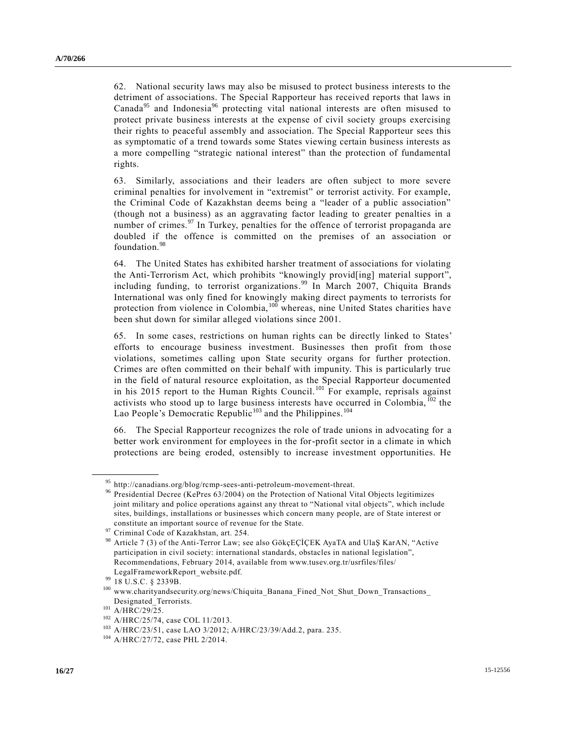62. National security laws may also be misused to protect business interests to the detriment of associations. The Special Rapporteur has received reports that laws in Canada<sup>95</sup> and Indonesia<sup>96</sup> protecting vital national interests are often misused to protect private business interests at the expense of civil society groups exercising their rights to peaceful assembly and association. The Special Rapporteur sees this as symptomatic of a trend towards some States viewing certain business interests as a more compelling "strategic national interest" than the protection of fundamental rights.

63. Similarly, associations and their leaders are often subject to more severe criminal penalties for involvement in "extremist" or terrorist activity. For example, the Criminal Code of Kazakhstan deems being a "leader of a public association" (though not a business) as an aggravating factor leading to greater penalties in a number of crimes. $97$  In Turkey, penalties for the offence of terrorist propaganda are doubled if the offence is committed on the premises of an association or foundation.<sup>98</sup>

64. The United States has exhibited harsher treatment of associations for violating the Anti-Terrorism Act, which prohibits "knowingly provid[ing] material support", including funding, to terrorist organizations. <sup>99</sup> In March 2007, Chiquita Brands International was only fined for knowingly making direct payments to terrorists for protection from violence in Colombia, <sup>100</sup> whereas, nine United States charities have been shut down for similar alleged violations since 2001.

65. In some cases, restrictions on human rights can be directly linked to States' efforts to encourage business investment. Businesses then profit from those violations, sometimes calling upon State security organs for further protection. Crimes are often committed on their behalf with impunity. This is particularly true in the field of natural resource exploitation, as the Special Rapporteur documented in his 2015 report to the Human Rights Council.<sup>101</sup> For example, reprisals against activists who stood up to large business interests have occurred in Colombia,  $^{102}$  the Lao People's Democratic Republic<sup>103</sup> and the Philippines.<sup>104</sup>

66. The Special Rapporteur recognizes the role of trade unions in advocating for a better work environment for employees in the for-profit sector in a climate in which protections are being eroded, ostensibly to increase investment opportunities. He

<sup>&</sup>lt;sup>95</sup> http://canadians.org/blog/rcmp-sees-anti-petroleum-movement-threat.

<sup>96</sup> Presidential Decree (KePres 63/2004) on the Protection of National Vital Objects legitimizes joint military and police operations against any threat to "National vital objects", which include sites, buildings, installations or businesses which concern many people, are of State interest or constitute an important source of revenue for the State.

Criminal Code of Kazakhstan, art. 254.

<sup>98</sup> Article 7 (3) of the Anti-Terror Law; see also GökçEÇİÇEK AyaTA and UlaŞ KarAN, "Active participation in civil society: international standards, obstacles in national legislation", Recommendations, February 2014, available from www.tusev.org.tr/usrfiles/files/ LegalFrameworkReport\_website.pdf.

 $^{99}$  18 U.S.C. § 2339B.

<sup>100</sup> www.charityandsecurity.org/news/Chiquita\_Banana\_Fined\_Not\_Shut\_Down\_Transactions\_ Designated\_Terrorists.

 $^{101}$  [A/HRC/29/25.](http://undocs.org/A/HRC/29/25)

<sup>102</sup> [A/HRC/25/74,](http://undocs.org/A/HRC/25/74) case COL 11/2013.

<sup>103</sup> [A/HRC/23/51,](http://undocs.org/A/HRC/23/51) case LAO 3/2012; [A/HRC/23/39/Add.2,](http://www.un.org/ga/search/view_doc.asp?symbol=A/HRC/23/39/Add.2) para. 235.

<sup>104</sup> [A/HRC/27/72,](http://undocs.org/A/HRC/27/72) case PHL 2/2014.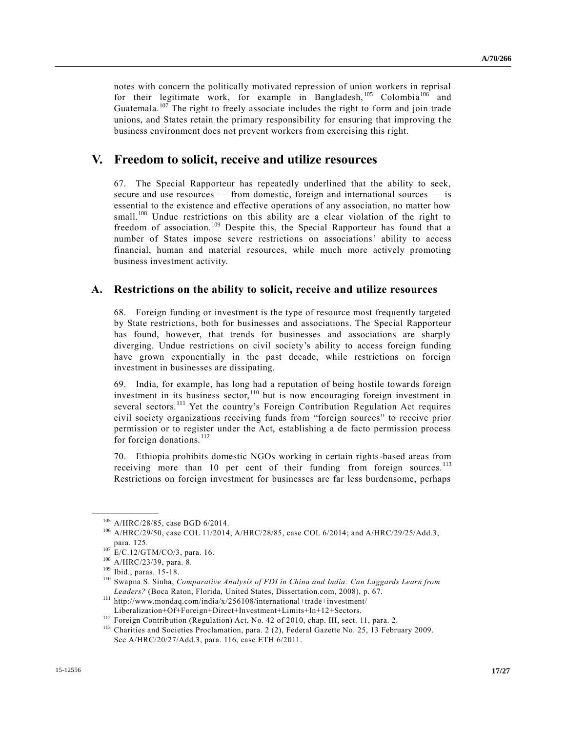notes with concern the politically motivated repression of union workers in reprisal for their legitimate work, for example in Bangladesh,  $105$  Colombia<sup>106</sup> and Guatemala.<sup>107</sup> The right to freely associate includes the right to form and join trade unions, and States retain the primary responsibility for ensuring that improving the business environment does not prevent workers from exercising this right.

## **V. Freedom to solicit, receive and utilize resources**

67. The Special Rapporteur has repeatedly underlined that the ability to seek, secure and use resources — from domestic, foreign and international sources — is essential to the existence and effective operations of any association, no matter how small.<sup>108</sup> Undue restrictions on this ability are a clear violation of the right to freedom of association.<sup>109</sup> Despite this, the Special Rapporteur has found that a number of States impose severe restrictions on associations' ability to access financial, human and material resources, while much more actively promoting business investment activity.

#### **A. Restrictions on the ability to solicit, receive and utilize resources**

68. Foreign funding or investment is the type of resource most frequently targeted by State restrictions, both for businesses and associations. The Special Rapporteur has found, however, that trends for businesses and associations are sharply diverging. Undue restrictions on civil society's ability to access foreign funding have grown exponentially in the past decade, while restrictions on foreign investment in businesses are dissipating.

69. India, for example, has long had a reputation of being hostile towards foreign investment in its business sector,<sup>110</sup> but is now encouraging foreign investment in several sectors.<sup>111</sup> Yet the country's Foreign Contribution Regulation Act requires civil society organizations receiving funds from "foreign sources" to receive prior permission or to register under the Act, establishing a de facto permission process for foreign donations. $^{112}$ 

70. Ethiopia prohibits domestic NGOs working in certain rights-based areas from receiving more than 10 per cent of their funding from foreign sources.<sup>113</sup> Restrictions on foreign investment for businesses are far less burdensome, perhaps

<sup>105</sup> [A/HRC/28/85,](http://undocs.org/A/HRC/28/85) case BGD 6/2014.

<sup>106</sup> [A/HRC/29/50,](http://undocs.org/A/HRC/29/50) case COL 11/2014[; A/HRC/28/85,](http://undocs.org/A/HRC/28/85) case COL 6/2014; an[d A/HRC/29/25/Add.3,](http://undocs.org/A/HRC/29/25/Add.3) para. 125.

<sup>&</sup>lt;sup>107</sup> [E/C.12/GTM/CO/3,](http://undocs.org/E/C.12/GTM/CO/3) para. 16.

<sup>108</sup> [A/HRC/23/39,](http://undocs.org/A/HRC/23/39) para. 8.

<sup>109</sup> Ibid., paras. 15-18.

<sup>110</sup> Swapna S. Sinha, *Comparative Analysis of FDI in China and India: Can Laggards Learn from Leaders?* (Boca Raton, Florida, United States, Dissertation.com, 2008), p. 67.

 $111$  http://www.mondaq.com/india/x/256108/international+trade+investment/ Liberalization+Of+Foreign+Direct+Investment+Limits+In+12+Sectors.

<sup>&</sup>lt;sup>112</sup> Foreign Contribution (Regulation) Act, No. 42 of 2010, chap. III, sect. 11, para. 2.

<sup>&</sup>lt;sup>113</sup> Charities and Societies Proclamation, para. 2 (2), Federal Gazette No. 25, 13 February 2009. See [A/HRC/20/27/Add.3,](http://undocs.org/A/HRC/20/27/Add.3) para. 116, case ETH 6/2011.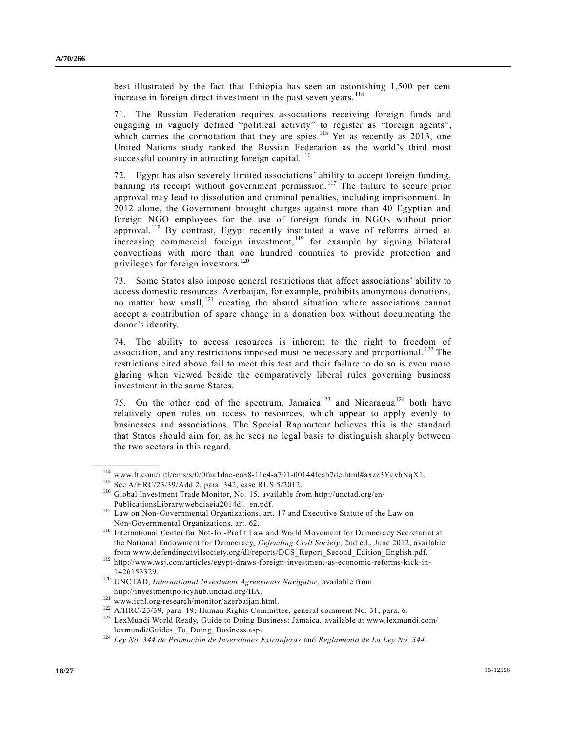best illustrated by the fact that Ethiopia has seen an astonishing 1,500 per cent increase in foreign direct investment in the past seven years.<sup>114</sup>

71. The Russian Federation requires associations receiving foreign funds and engaging in vaguely defined "political activity" to register as "foreign agents", which carries the connotation that they are spies.<sup>115</sup> Yet as recently as 2013, one United Nations study ranked the Russian Federation as the world's third most successful country in attracting foreign capital.<sup>116</sup>

72. Egypt has also severely limited associations' ability to accept foreign funding, banning its receipt without government permission.<sup>117</sup> The failure to secure prior approval may lead to dissolution and criminal penalties, including imprisonment. In 2012 alone, the Government brought charges against more than 40 Egyptian and foreign NGO employees for the use of foreign funds in NGOs without prior approval.<sup>118</sup> By contrast, Egypt recently instituted a wave of reforms aimed at increasing commercial foreign investment,<sup>119</sup> for example by signing bilateral conventions with more than one hundred countries to provide protection and privileges for foreign investors.<sup>120</sup>

73. Some States also impose general restrictions that affect associations' ability to access domestic resources. Azerbaijan, for example, prohibits anonymous donations, no matter how small,<sup>121</sup> creating the absurd situation where associations cannot accept a contribution of spare change in a donation box without documenting the donor's identity.

74. The ability to access resources is inherent to the right to freedom of association, and any restrictions imposed must be necessary and proportional.  $^{122}$  The restrictions cited above fail to meet this test and their failure to do so is even more glaring when viewed beside the comparatively liberal rules governing business investment in the same States.

75. On the other end of the spectrum, Jamaica<sup>123</sup> and Nicaragua<sup>124</sup> both have relatively open rules on access to resources, which appear to apply evenly to businesses and associations. The Special Rapporteur believes this is the standard that States should aim for, as he sees no legal basis to distinguish sharply between the two sectors in this regard.

 $^{114}$ www.ft.com/intl/cms/s/0/0faa1dac-ea88-11e4-a701-00144feab7de.html#axzz3YcvbNqX1.

<sup>115</sup> Se[e A/HRC/23/39/Add.2,](http://undocs.org/A/HRC/23/39/Add.2) para. 342, case RUS 5/2012.

<sup>116</sup> Global Investment Trade Monitor, No. 15, available from http://unctad.org/en/ PublicationsLibrary/webdiaeia2014d1\_en.pdf.

<sup>117</sup> Law on Non-Governmental Organizations, art. 17 and Executive Statute of the Law on Non-Governmental Organizations, art. 62.

<sup>118</sup> International Center for Not-for-Profit Law and World Movement for Democracy Secretariat at the National Endowment for Democracy, *Defending Civil Society*, 2nd ed., June 2012, available from www.defendingcivilsociety.org/dl/reports/DCS\_Report\_Second\_Edition\_English.pdf.

<sup>119</sup> http://www.wsj.com/articles/egypt-draws-foreign-investment-as-economic-reforms-kick-in-1426153329.

<sup>120</sup> UNCTAD, *International Investment Agreements Navigator*, available from http://investmentpolicyhub.unctad.org/IIA.

<sup>121</sup> www.icnl.org/research/monitor/azerbaijan.html.

<sup>122</sup> [A/HRC/23/39,](http://undocs.org/A/HRC/23/39) para. 19; Human Rights Committee, general comment No. 31, para. 6.

<sup>&</sup>lt;sup>123</sup> LexMundi World Ready, Guide to Doing Business: Jamaica, available at www.lexmundi.com/ lexmundi/Guides\_To\_Doing\_Business.asp.

<sup>124</sup> *Ley No. 344 de Promoción de Inversiones Extranjeras* and *Reglamento de La Ley No. 344*.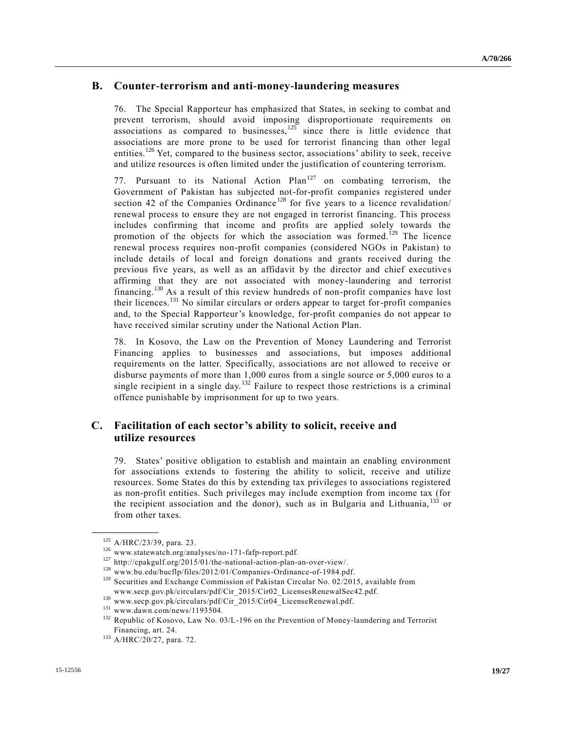#### **B. Counter-terrorism and anti-money-laundering measures**

76. The Special Rapporteur has emphasized that States, in seeking to combat and prevent terrorism, should avoid imposing disproportionate requirements on associations as compared to businesses, $125$  since there is little evidence that associations are more prone to be used for terrorist financing than other legal entities.<sup>126</sup> Yet, compared to the business sector, associations' ability to seek, receive and utilize resources is often limited under the justification of countering terrorism.

77. Pursuant to its National Action  $Plan<sup>127</sup>$  on combating terrorism, the Government of Pakistan has subjected not-for-profit companies registered under section 42 of the Companies Ordinance<sup>128</sup> for five years to a licence revalidation/ renewal process to ensure they are not engaged in terrorist financing. This process includes confirming that income and profits are applied solely towards the promotion of the objects for which the association was formed.<sup>129</sup> The licence renewal process requires non-profit companies (considered NGOs in Pakistan) to include details of local and foreign donations and grants received during the previous five years, as well as an affidavit by the director and chief executives affirming that they are not associated with money-laundering and terrorist financing.<sup>130</sup> As a result of this review hundreds of non-profit companies have lost their licences.<sup>131</sup> No similar circulars or orders appear to target for-profit companies and, to the Special Rapporteur's knowledge, for-profit companies do not appear to have received similar scrutiny under the National Action Plan.

78. In Kosovo, the Law on the Prevention of Money Laundering and Terrorist Financing applies to businesses and associations, but imposes additional requirements on the latter. Specifically, associations are not allowed to receive or disburse payments of more than 1,000 euros from a single source or 5,000 euros to a single recipient in a single day.<sup>132</sup> Failure to respect those restrictions is a criminal offence punishable by imprisonment for up to two years.

### **C. Facilitation of each sector's ability to solicit, receive and utilize resources**

79. States' positive obligation to establish and maintain an enabling environment for associations extends to fostering the ability to solicit, receive and utilize resources. Some States do this by extending tax privileges to associations registered as non-profit entities. Such privileges may include exemption from income tax (for the recipient association and the donor), such as in Bulgaria and Lithuania, <sup>133</sup> or from other taxes.

<sup>125</sup> [A/HRC/23/39,](http://undocs.org/A/HRC/23/39) para. 23.

<sup>126</sup> www.statewatch.org/analyses/no-171-fafp-report.pdf.

<sup>127</sup> http://cpakgulf.org/2015/01/the-national-action-plan-an-over-view/.

<sup>128</sup> www.bu.edu/bucflp/files/2012/01/Companies-Ordinance-of-1984.pdf.

<sup>&</sup>lt;sup>129</sup> Securities and Exchange Commission of Pakistan Circular No. 02/2015, available from www.secp.gov.pk/circulars/pdf/Cir\_2015/Cir02\_LicensesRenewalSec42.pdf.

<sup>130</sup> www.secp.gov.pk/circulars/pdf/Cir\_2015/Cir04\_LicenseRenewal.pdf.

<sup>131</sup> www.dawn.com/news/1193504.

<sup>&</sup>lt;sup>132</sup> Republic of Kosovo, Law No. 03/L-196 on the Prevention of Money-laundering and Terrorist Financing, art. 24.

<sup>133</sup> [A/HRC/20/27,](http://undocs.org/A/HRC/20/27) para. 72.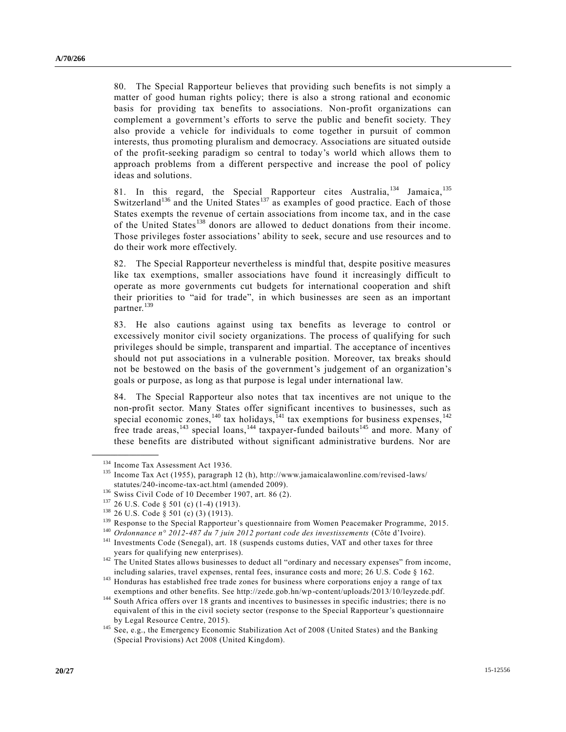80. The Special Rapporteur believes that providing such benefits is not simply a matter of good human rights policy; there is also a strong rational and economic basis for providing tax benefits to associations. Non-profit organizations can complement a government's efforts to serve the public and benefit society. They also provide a vehicle for individuals to come together in pursuit of common interests, thus promoting pluralism and democracy. Associations are situated outside of the profit-seeking paradigm so central to today's world which allows them to approach problems from a different perspective and increase the pool of policy ideas and solutions.

81. In this regard, the Special Rapporteur cites Australia,  $134$  Jamaica,  $135$ Switzerland<sup>136</sup> and the United States<sup>137</sup> as examples of good practice. Each of those States exempts the revenue of certain associations from income tax, and in the case of the United States<sup>138</sup> donors are allowed to deduct donations from their income. Those privileges foster associations' ability to seek, secure and use resources and to do their work more effectively.

82. The Special Rapporteur nevertheless is mindful that, despite positive measures like tax exemptions, smaller associations have found it increasingly difficult to operate as more governments cut budgets for international cooperation and shift their priorities to "aid for trade", in which businesses are seen as an important partner.<sup>139</sup>

83. He also cautions against using tax benefits as leverage to control or excessively monitor civil society organizations. The process of qualifying for such privileges should be simple, transparent and impartial. The acceptance of incentives should not put associations in a vulnerable position. Moreover, tax breaks should not be bestowed on the basis of the government's judgement of an organization's goals or purpose, as long as that purpose is legal under international law.

84. The Special Rapporteur also notes that tax incentives are not unique to the non-profit sector. Many States offer significant incentives to businesses, such as special economic zones,<sup>140</sup> tax holidays,<sup>141</sup> tax exemptions for business expenses,<sup>142</sup> free trade areas, $^{143}$  special loans,  $^{144}$  taxpayer-funded bailouts<sup>145</sup> and more. Many of these benefits are distributed without significant administrative burdens. Nor are

<sup>&</sup>lt;sup>134</sup> Income Tax Assessment Act 1936.

<sup>135</sup> Income Tax Act (1955), paragraph 12 (h), http://www.jamaicalawonline.com/revised -laws/ statutes/240-income-tax-act.html (amended 2009).

<sup>136</sup> Swiss Civil Code of 10 December 1907, art. 86 (2).

 $^{137}$  26 U.S. Code § 501 (c) (1-4) (1913).<br> $^{138}$  26 U.S. Code 8 501 (c) (3) (1913).

<sup>26</sup> U.S. Code § 501 (c) (3) (1913).

<sup>&</sup>lt;sup>139</sup> Response to the Special Rapporteur's questionnaire from Women Peacemaker Programme, 2015.

<sup>140</sup> *Ordonnance n° 2012-487 du 7 juin 2012 portant code des investissements* (Côte d'Ivoire).

<sup>&</sup>lt;sup>141</sup> Investments Code (Senegal), art. 18 (suspends customs duties, VAT and other taxes for three years for qualifying new enterprises).

<sup>&</sup>lt;sup>142</sup> The United States allows businesses to deduct all "ordinary and necessary expenses" from income, including salaries, travel expenses, rental fees, insurance costs and more; 26 U.S. Code § 162.

<sup>&</sup>lt;sup>143</sup> Honduras has established free trade zones for business where corporations enjoy a range of tax exemptions and other benefits. See http://zede.gob.hn/wp-content/uploads/2013/10/leyzede.pdf.

<sup>&</sup>lt;sup>144</sup> South Africa offers over 18 grants and incentives to businesses in specific industries; there is no equivalent of this in the civil society sector (response to the Special Rapporteur's questionnaire by Legal Resource Centre, 2015).

<sup>&</sup>lt;sup>145</sup> See, e.g., the Emergency Economic Stabilization Act of 2008 (United States) and the Banking (Special Provisions) Act 2008 (United Kingdom).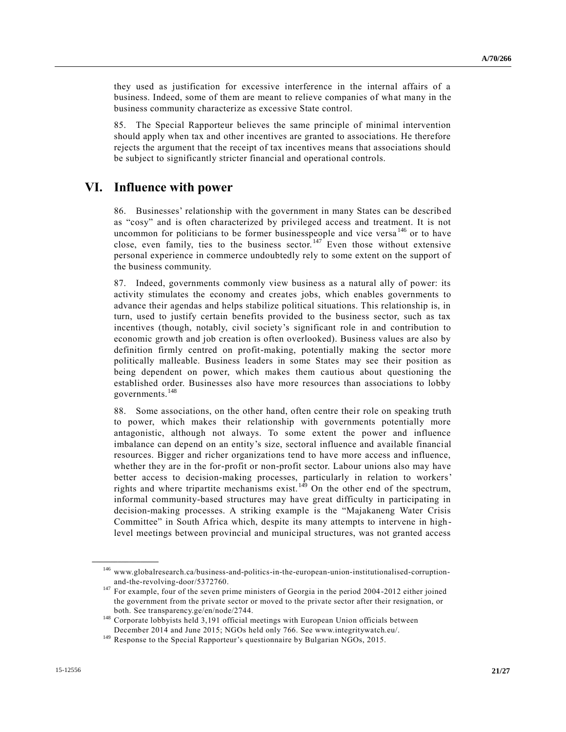they used as justification for excessive interference in the internal affairs of a business. Indeed, some of them are meant to relieve companies of what many in the business community characterize as excessive State control.

85. The Special Rapporteur believes the same principle of minimal intervention should apply when tax and other incentives are granted to associations. He therefore rejects the argument that the receipt of tax incentives means that associations should be subject to significantly stricter financial and operational controls.

## **VI. Influence with power**

86. Businesses' relationship with the government in many States can be described as "cosy" and is often characterized by privileged access and treatment. It is not uncommon for politicians to be former businesspeople and vice versa  $146$  or to have close, even family, ties to the business sector.<sup>147</sup> Even those without extensive personal experience in commerce undoubtedly rely to some extent on the support of the business community.

87. Indeed, governments commonly view business as a natural ally of power: its activity stimulates the economy and creates jobs, which enables governments to advance their agendas and helps stabilize political situations. This relationship is, in turn, used to justify certain benefits provided to the business sector, such as tax incentives (though, notably, civil society's significant role in and contribution to economic growth and job creation is often overlooked). Business values are also by definition firmly centred on profit-making, potentially making the sector more politically malleable. Business leaders in some States may see their position as being dependent on power, which makes them cautious about questioning the established order. Businesses also have more resources than associations to lobby governments.<sup>148</sup>

88. Some associations, on the other hand, often centre their role on speaking truth to power, which makes their relationship with governments potentially more antagonistic, although not always. To some extent the power and influence imbalance can depend on an entity's size, sectoral influence and available financial resources. Bigger and richer organizations tend to have more access and influence, whether they are in the for-profit or non-profit sector. Labour unions also may have better access to decision-making processes, particularly in relation to workers' rights and where tripartite mechanisms exist. <sup>149</sup> On the other end of the spectrum, informal community-based structures may have great difficulty in participating in decision-making processes. A striking example is the "Majakaneng Water Crisis Committee" in South Africa which, despite its many attempts to intervene in highlevel meetings between provincial and municipal structures, was not granted access

<sup>146</sup> www.globalresearch.ca/business-and-politics-in-the-european-union-institutionalised-corruptionand-the-revolving-door/5372760.

<sup>&</sup>lt;sup>147</sup> For example, four of the seven prime ministers of Georgia in the period 2004-2012 either joined the government from the private sector or moved to the private sector after their resignation, or both. See transparency.ge/en/node/2744.

<sup>&</sup>lt;sup>148</sup> Corporate lobbyists held 3,191 official meetings with European Union officials between December 2014 and June 2015; NGOs held only 766. See www.integritywatch.eu/.

<sup>&</sup>lt;sup>149</sup> Response to the Special Rapporteur's questionnaire by Bulgarian NGOs, 2015.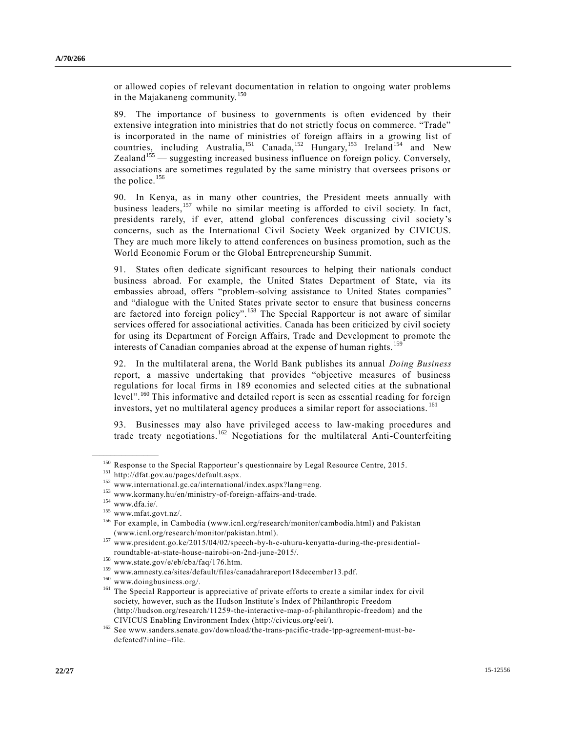or allowed copies of relevant documentation in relation to ongoing water problems in the Majakaneng community.<sup>150</sup>

89. The importance of business to governments is often evidenced by their extensive integration into ministries that do not strictly focus on commerce. "Trade" is incorporated in the name of ministries of foreign affairs in a growing list of countries, including Australia,<sup>151</sup> Canada,<sup>152</sup> Hungary,<sup>153</sup> Ireland<sup>154</sup> and New  $Zealand<sup>155</sup>$  — suggesting increased business influence on foreign policy. Conversely, associations are sometimes regulated by the same ministry that oversees prisons or the police.<sup>156</sup>

90. In Kenya, as in many other countries, the President meets annually with business leaders,<sup>157</sup> while no similar meeting is afforded to civil society. In fact, presidents rarely, if ever, attend global conferences discussing civil society's concerns, such as the International Civil Society Week organized by CIVICUS. They are much more likely to attend conferences on business promotion, such as the World Economic Forum or the Global Entrepreneurship Summit.

91. States often dedicate significant resources to helping their nationals conduct business abroad. For example, the United States Department of State, via its embassies abroad, offers "problem-solving assistance to United States companies" and "dialogue with the United States private sector to ensure that business concerns are factored into foreign policy".<sup>158</sup> The Special Rapporteur is not aware of similar services offered for associational activities. Canada has been criticized by civil society for using its Department of Foreign Affairs, Trade and Development to promote the interests of Canadian companies abroad at the expense of human rights.<sup>159</sup>

92. In the multilateral arena, the World Bank publishes its annual *Doing Business* report, a massive undertaking that provides "objective measures of business regulations for local firms in 189 economies and selected cities at the subnational level".<sup>160</sup> This informative and detailed report is seen as essential reading for foreign investors, yet no multilateral agency produces a similar report for associations.<sup>161</sup>

93. Businesses may also have privileged access to law-making procedures and trade treaty negotiations.<sup>162</sup> Negotiations for the multilateral Anti-Counterfeiting

<sup>&</sup>lt;sup>150</sup> Response to the Special Rapporteur's questionnaire by Legal Resource Centre, 2015.

<sup>151</sup> http://dfat.gov.au/pages/default.aspx.

<sup>152</sup> www.international.gc.ca/international/index.aspx?lang=eng.

 $^{153}$ www.kormany.hu/en/ministry-of-foreign-affairs-and-trade.

 $154$  www.dfa.ie/.

 $^{155}$  www.mfat.govt.nz/.

<sup>156</sup> For example, in Cambodia (www.icnl.org/research/monitor/cambodia.html) and Pakistan (www.icnl.org/research/monitor/pakistan.html).

<sup>157</sup> www.president.go.ke/2015/04/02/speech-by-h-e-uhuru-kenyatta-during-the-presidentialroundtable-at-state-house-nairobi-on-2nd-june-2015/.

 $^{158}$ www.state.gov/e/eb/cba/faq/176.htm.

<sup>159</sup> www.amnesty.ca/sites/default/files/canadahrareport18december13.pdf.

<sup>160</sup> www.doingbusiness.org/.

<sup>&</sup>lt;sup>161</sup> The Special Rapporteur is appreciative of private efforts to create a similar index for civil society, however, such as the Hudson Institute's Index of Philanthropic Freedom (http://hudson.org/research/11259-the-interactive-map-of-philanthropic-freedom) and the CIVICUS Enabling Environment Index (http://civicus.org/eei/).

<sup>162</sup> See www.sanders.senate.gov/download/the-trans-pacific-trade-tpp-agreement-must-bedefeated?inline=file.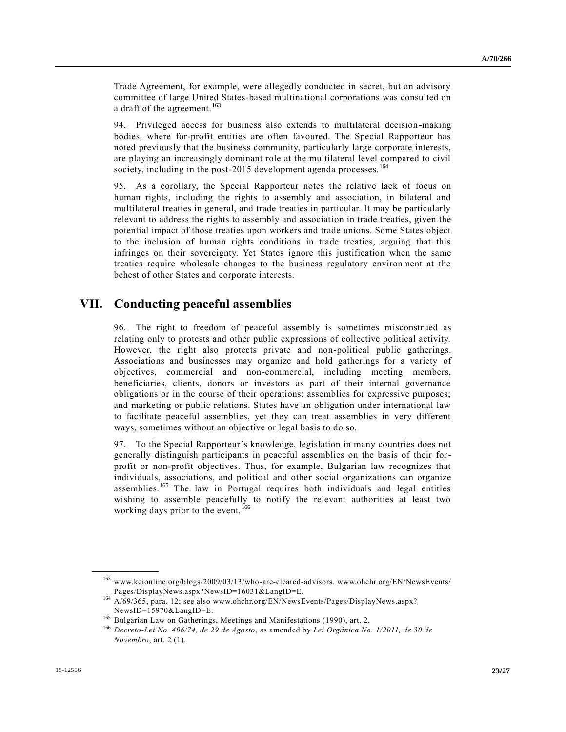Trade Agreement, for example, were allegedly conducted in secret, but an advisory committee of large United States-based multinational corporations was consulted on a draft of the agreement.<sup>163</sup>

94. Privileged access for business also extends to multilateral decision-making bodies, where for-profit entities are often favoured. The Special Rapporteur has noted previously that the business community, particularly large corporate interests, are playing an increasingly dominant role at the multilateral level compared to civil society, including in the post-2015 development agenda processes.<sup>164</sup>

95. As a corollary, the Special Rapporteur notes the relative lack of focus on human rights, including the rights to assembly and association, in bilateral and multilateral treaties in general, and trade treaties in particular. It may be particularly relevant to address the rights to assembly and association in trade treaties, given the potential impact of those treaties upon workers and trade unions. Some States object to the inclusion of human rights conditions in trade treaties, arguing that this infringes on their sovereignty. Yet States ignore this justification when the same treaties require wholesale changes to the business regulatory environment at the behest of other States and corporate interests.

## **VII. Conducting peaceful assemblies**

96. The right to freedom of peaceful assembly is sometimes misconstrued as relating only to protests and other public expressions of collective political activity. However, the right also protects private and non-political public gatherings. Associations and businesses may organize and hold gatherings for a variety of objectives, commercial and non-commercial, including meeting members, beneficiaries, clients, donors or investors as part of their internal governance obligations or in the course of their operations; assemblies for expressive purposes; and marketing or public relations. States have an obligation under international law to facilitate peaceful assemblies, yet they can treat assemblies in very different ways, sometimes without an objective or legal basis to do so.

97. To the Special Rapporteur's knowledge, legislation in many countries does not generally distinguish participants in peaceful assemblies on the basis of their forprofit or non-profit objectives. Thus, for example, Bulgarian law recognizes that individuals, associations, and political and other social organizations can organize assemblies.<sup>165</sup> The law in Portugal requires both individuals and legal entities wishing to assemble peacefully to notify the relevant authorities at least two working days prior to the event.<sup>166</sup>

<sup>163</sup> www.keionline.org/blogs/2009/03/13/who-are-cleared-advisors. www.ohchr.org/EN/NewsEvents/ Pages/DisplayNews.aspx?NewsID=16031&LangID=E.

<sup>164</sup> [A/69/365,](http://undocs.org/A/69/365) para. 12; see also www.ohchr.org/EN/NewsEvents/Pages/DisplayNews.aspx? NewsID=15970&LangID=E.

<sup>&</sup>lt;sup>165</sup> Bulgarian Law on Gatherings, Meetings and Manifestations (1990), art. 2.

<sup>166</sup> *Decreto-Lei No. 406/74, de 29 de Agosto*, as amended by *Lei Orgânica No. 1/2011, de 30 de Novembro*, art. 2 (1).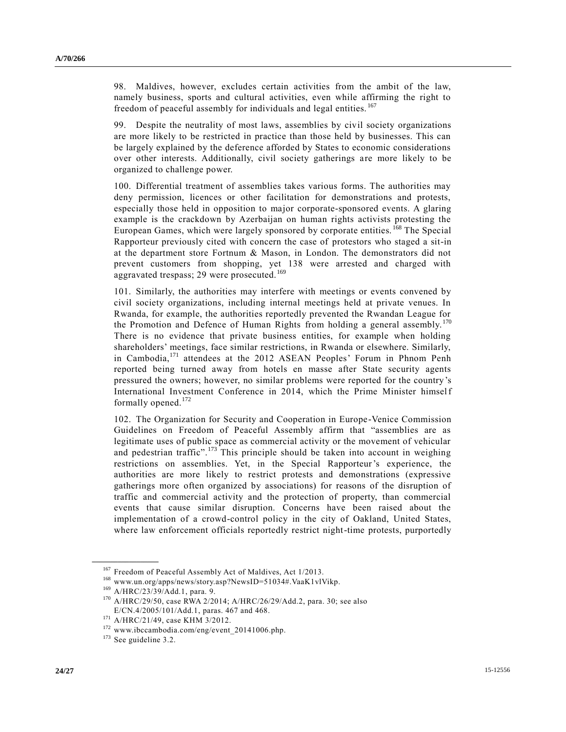98. Maldives, however, excludes certain activities from the ambit of the law, namely business, sports and cultural activities, even while affirming the right to freedom of peaceful assembly for individuals and legal entities.<sup>167</sup>

99. Despite the neutrality of most laws, assemblies by civil society organizations are more likely to be restricted in practice than those held by businesses. This can be largely explained by the deference afforded by States to economic considerations over other interests. Additionally, civil society gatherings are more likely to be organized to challenge power.

100. Differential treatment of assemblies takes various forms. The authorities may deny permission, licences or other facilitation for demonstrations and protests, especially those held in opposition to major corporate-sponsored events. A glaring example is the crackdown by Azerbaijan on human rights activists protesting the European Games, which were largely sponsored by corporate entities.<sup>168</sup> The Special Rapporteur previously cited with concern the case of protestors who staged a sit-in at the department store Fortnum & Mason, in London. The demonstrators did not prevent customers from shopping, yet 138 were arrested and charged with aggravated trespass; 29 were prosecuted.<sup>169</sup>

101. Similarly, the authorities may interfere with meetings or events convened by civil society organizations, including internal meetings held at private venues. In Rwanda, for example, the authorities reportedly prevented the Rwandan League for the Promotion and Defence of Human Rights from holding a general assembly.<sup>170</sup> There is no evidence that private business entities, for example when holding shareholders' meetings, face similar restrictions, in Rwanda or elsewhere. Similarly, in Cambodia,<sup>171</sup> attendees at the 2012 ASEAN Peoples' Forum in Phnom Penh reported being turned away from hotels en masse after State security agents pressured the owners; however, no similar problems were reported for the country's International Investment Conference in 2014, which the Prime Minister himself formally opened.<sup>172</sup>

102. The Organization for Security and Cooperation in Europe-Venice Commission Guidelines on Freedom of Peaceful Assembly affirm that "assemblies are as legitimate uses of public space as commercial activity or the movement of vehicular and pedestrian traffic".<sup>173</sup> This principle should be taken into account in weighing restrictions on assemblies. Yet, in the Special Rapporteur's experience, the authorities are more likely to restrict protests and demonstrations (expressive gatherings more often organized by associations) for reasons of the disruption of traffic and commercial activity and the protection of property, than commercial events that cause similar disruption. Concerns have been raised about the implementation of a crowd-control policy in the city of Oakland, United States, where law enforcement officials reportedly restrict night-time protests, purportedly

<sup>&</sup>lt;sup>167</sup> Freedom of Peaceful Assembly Act of Maldives, Act 1/2013.

<sup>168</sup> www.un.org/apps/news/story.asp?NewsID=51034#.VaaK1vlVikp.

<sup>169</sup> [A/HRC/23/39/Add.1,](http://undocs.org/A/HRC/23/39/Add.1) para. 9.

<sup>170</sup> [A/HRC/29/50,](http://undocs.org/A/HRC/29/50) case RWA 2/2014[; A/HRC/26/29/Add.2,](http://undocs.org/A/HRC/26/29/Add.2) para. 30; see also [E/CN.4/2005/101/Add.1,](http://undocs.org/E/CN.4/2005/101/Add.1) paras. 467 and 468.

<sup>171</sup> [A/HRC/21/49,](http://undocs.org/A/HRC/21/49) case KHM 3/2012.

<sup>172</sup> www.ibccambodia.com/eng/event\_20141006.php.

<sup>173</sup> See guideline 3.2.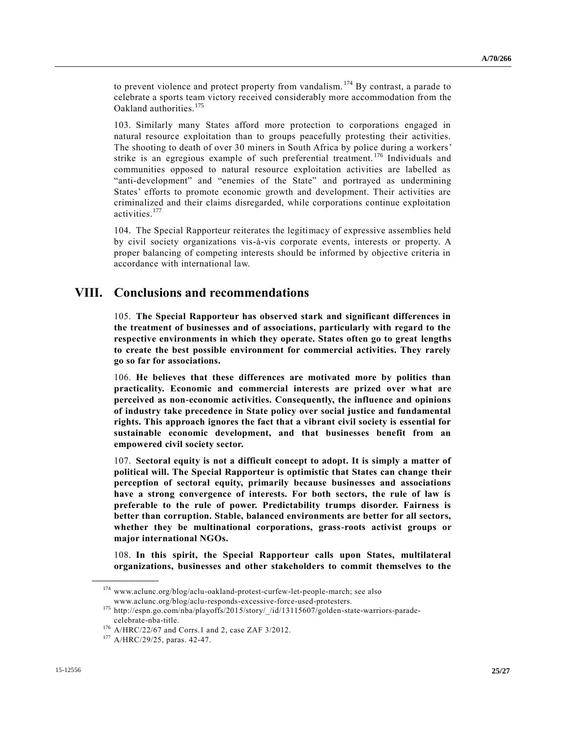to prevent violence and protect property from vandalism. <sup>174</sup> By contrast, a parade to celebrate a sports team victory received considerably more accommodation from the Oakland authorities.<sup>175</sup>

103. Similarly many States afford more protection to corporations engaged in natural resource exploitation than to groups peacefully protesting their activities. The shooting to death of over 30 miners in South Africa by police during a workers' strike is an egregious example of such preferential treatment. <sup>176</sup> Individuals and communities opposed to natural resource exploitation activities are labelled as "anti-development" and "enemies of the State" and portrayed as undermining States' efforts to promote economic growth and development. Their activities are criminalized and their claims disregarded, while corporations continue exploitation activities.<sup>177</sup>

104. The Special Rapporteur reiterates the legitimacy of expressive assemblies held by civil society organizations vis-à-vis corporate events, interests or property. A proper balancing of competing interests should be informed by objective criteria in accordance with international law.

### **VIII. Conclusions and recommendations**

105. **The Special Rapporteur has observed stark and significant differences in the treatment of businesses and of associations, particularly with regard to the respective environments in which they operate. States often go to great lengths to create the best possible environment for commercial activities. They rarely go so far for associations.**

106. **He believes that these differences are motivated more by politics than practicality. Economic and commercial interests are prized over what are perceived as non-economic activities. Consequently, the influence and opinions of industry take precedence in State policy over social justice and fundamental rights. This approach ignores the fact that a vibrant civil society is essential for sustainable economic development, and that businesses benefit from an empowered civil society sector.**

107. **Sectoral equity is not a difficult concept to adopt. It is simply a matter of political will. The Special Rapporteur is optimistic that States can change their perception of sectoral equity, primarily because businesses and associations have a strong convergence of interests. For both sectors, the rule of law is preferable to the rule of power. Predictability trumps disorder. Fairness is better than corruption. Stable, balanced environments are better for all sectors, whether they be multinational corporations, grass-roots activist groups or major international NGOs.**

108. **In this spirit, the Special Rapporteur calls upon States, multilateral organizations, businesses and other stakeholders to commit themselves to the** 

 $^{174}$ www.aclunc.org/blog/aclu-oakland-protest-curfew-let-people-march; see also www.aclunc.org/blog/aclu-responds-excessive-force-used-protesters.

<sup>175</sup> http://espn.go.com/nba/playoffs/2015/story/\_/id/13115607/golden-state-warriors-paradecelebrate-nba-title.

<sup>176</sup> [A/HRC/22/67](http://undocs.org/A/HRC/22/67) and Corrs.1 and 2, case ZAF 3/2012.

<sup>177</sup> [A/HRC/29/25,](http://undocs.org/A/HRC/29/25) paras. 42-47.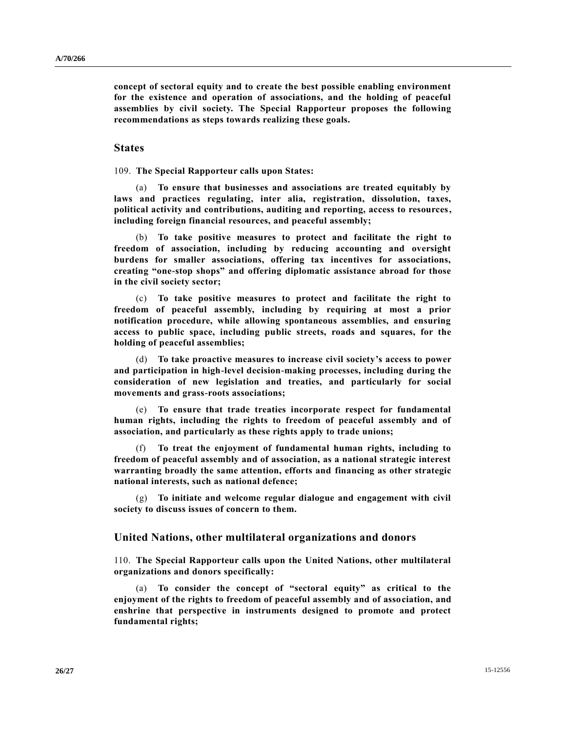**concept of sectoral equity and to create the best possible enabling environment for the existence and operation of associations, and the holding of peaceful assemblies by civil society. The Special Rapporteur proposes the following recommendations as steps towards realizing these goals.**

#### **States**

109. **The Special Rapporteur calls upon States:**

(a) **To ensure that businesses and associations are treated equitably by laws and practices regulating, inter alia, registration, dissolution, taxes, political activity and contributions, auditing and reporting, access to resources, including foreign financial resources, and peaceful assembly;**

(b) **To take positive measures to protect and facilitate the right to freedom of association, including by reducing accounting and oversight burdens for smaller associations, offering tax incentives for associations, creating "one-stop shops" and offering diplomatic assistance abroad for those in the civil society sector;**

(c) **To take positive measures to protect and facilitate the right to freedom of peaceful assembly, including by requiring at most a prior notification procedure, while allowing spontaneous assemblies, and ensuring access to public space, including public streets, roads and squares, for the holding of peaceful assemblies;**

(d) **To take proactive measures to increase civil society's access to power and participation in high-level decision-making processes, including during the consideration of new legislation and treaties, and particularly for social movements and grass-roots associations;**

(e) **To ensure that trade treaties incorporate respect for fundamental human rights, including the rights to freedom of peaceful assembly and of association, and particularly as these rights apply to trade unions;**

(f) **To treat the enjoyment of fundamental human rights, including to freedom of peaceful assembly and of association, as a national strategic interest warranting broadly the same attention, efforts and financing as other strategic national interests, such as national defence;**

(g) **To initiate and welcome regular dialogue and engagement with civil society to discuss issues of concern to them.**

#### **United Nations, other multilateral organizations and donors**

110. **The Special Rapporteur calls upon the United Nations, other multilateral organizations and donors specifically:**

(a) **To consider the concept of "sectoral equity" as critical to the enjoyment of the rights to freedom of peaceful assembly and of association, and enshrine that perspective in instruments designed to promote and protect fundamental rights;**